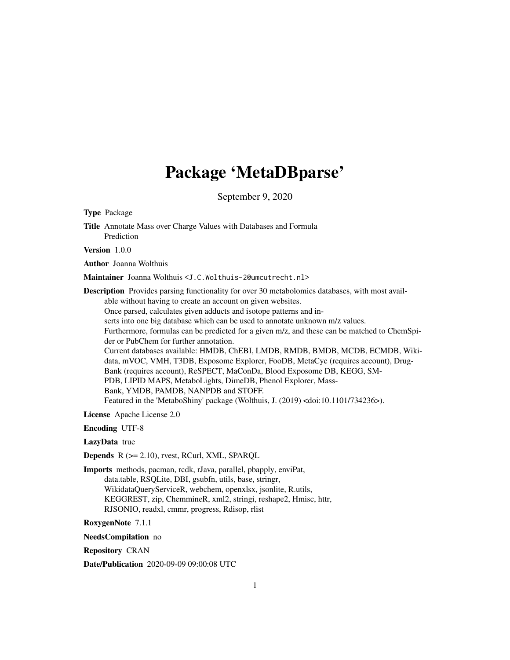# Package 'MetaDBparse'

September 9, 2020

<span id="page-0-0"></span>Type Package Title Annotate Mass over Charge Values with Databases and Formula Prediction Version 1.0.0 Author Joanna Wolthuis Maintainer Joanna Wolthuis <J.C.Wolthuis-2@umcutrecht.nl> Description Provides parsing functionality for over 30 metabolomics databases, with most available without having to create an account on given websites. Once parsed, calculates given adducts and isotope patterns and inserts into one big database which can be used to annotate unknown m/z values. Furthermore, formulas can be predicted for a given m/z, and these can be matched to ChemSpider or PubChem for further annotation. Current databases available: HMDB, ChEBI, LMDB, RMDB, BMDB, MCDB, ECMDB, Wikidata, mVOC, VMH, T3DB, Exposome Explorer, FooDB, MetaCyc (requires account), Drug-Bank (requires account), ReSPECT, MaConDa, Blood Exposome DB, KEGG, SM-PDB, LIPID MAPS, MetaboLights, DimeDB, Phenol Explorer, Mass-Bank, YMDB, PAMDB, NANPDB and STOFF. Featured in the 'MetaboShiny' package (Wolthuis, J. (2019) <doi:10.1101/734236>). License Apache License 2.0 Encoding UTF-8 LazyData true Depends R (>= 2.10), rvest, RCurl, XML, SPARQL Imports methods, pacman, rcdk, rJava, parallel, pbapply, enviPat, data.table, RSQLite, DBI, gsubfn, utils, base, stringr,

WikidataQueryServiceR, webchem, openxlsx, jsonlite, R.utils, KEGGREST, zip, ChemmineR, xml2, stringi, reshape2, Hmisc, httr, RJSONIO, readxl, cmmr, progress, Rdisop, rlist

RoxygenNote 7.1.1

NeedsCompilation no

Repository CRAN

Date/Publication 2020-09-09 09:00:08 UTC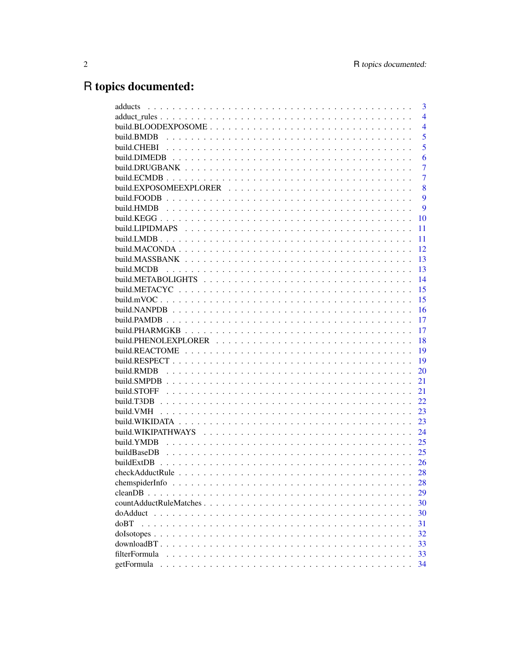# R topics documented:

| 3<br>adducts                                                                                                       |
|--------------------------------------------------------------------------------------------------------------------|
| $\overline{4}$                                                                                                     |
| build.BLOODEXPOSOME<br>$\overline{4}$                                                                              |
| 5<br>build.BMDB                                                                                                    |
| 5<br>build.CHEBI                                                                                                   |
| build.DIMEDB<br>6                                                                                                  |
| 7                                                                                                                  |
| 7                                                                                                                  |
| build.EXPOSOMEEXPLORER<br>8                                                                                        |
| 9                                                                                                                  |
| 9<br>build.HMDB                                                                                                    |
| build.KEGG $\ldots$<br>10                                                                                          |
| build.LIPIDMAPS<br>11                                                                                              |
| 11                                                                                                                 |
| 12                                                                                                                 |
| 13                                                                                                                 |
| 13<br>build.MCDB                                                                                                   |
| build.METABOLIGHTS<br>14                                                                                           |
| 15                                                                                                                 |
| 15                                                                                                                 |
| build.NANPDB<br>16                                                                                                 |
| 17                                                                                                                 |
| 17                                                                                                                 |
| 18                                                                                                                 |
| build.REACTOME<br>19                                                                                               |
| 19                                                                                                                 |
| build.RMDB<br>20                                                                                                   |
| 21                                                                                                                 |
| build.STOFF<br>21                                                                                                  |
| 22<br>build.T3DB                                                                                                   |
| 23<br>build.VMH<br>and a straight and                                                                              |
| build. WIKIDATA $\ldots \ldots \ldots \ldots \ldots \ldots \ldots \ldots \ldots \ldots \ldots \ldots \ldots$<br>23 |
| build.WIKIPATHWAYS<br>24                                                                                           |
| build.YMDB<br>25                                                                                                   |
| buildBaseDB<br>25                                                                                                  |
| buildExtDB<br>26                                                                                                   |
| 28<br>$\sim$ $\sim$ $\sim$                                                                                         |
| 28                                                                                                                 |
| 29                                                                                                                 |
| 30                                                                                                                 |
| 30                                                                                                                 |
| d <sub>o</sub> BT<br>31                                                                                            |
| 32                                                                                                                 |
| 33                                                                                                                 |
| filterFormula<br>33                                                                                                |
| getFormula<br>34                                                                                                   |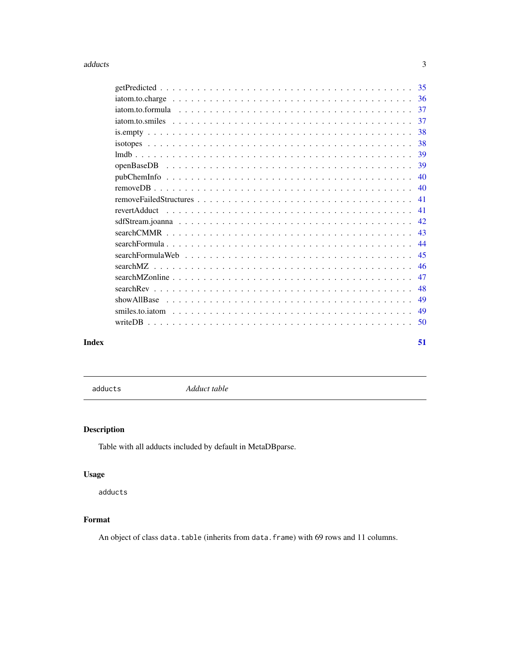#### <span id="page-2-0"></span>adducts 3

| Index | 51 |
|-------|----|
|       |    |
|       |    |
|       |    |
|       |    |
|       |    |
|       |    |
|       |    |
|       |    |
|       |    |
|       |    |
|       |    |
|       |    |
|       |    |
|       |    |
|       |    |
|       |    |
|       |    |
|       |    |
|       |    |
|       |    |
|       |    |
|       |    |

adducts *Adduct table*

# Description

Table with all adducts included by default in MetaDBparse.

# Usage

adducts

# Format

An object of class data.table (inherits from data.frame) with 69 rows and 11 columns.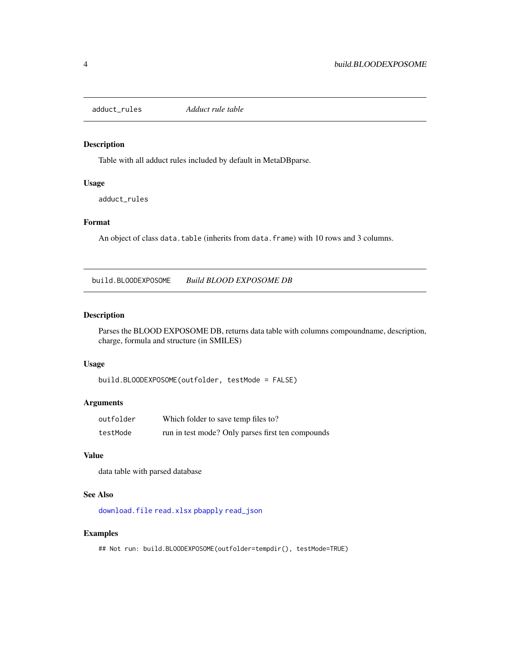<span id="page-3-0"></span>adduct\_rules *Adduct rule table*

#### Description

Table with all adduct rules included by default in MetaDBparse.

# Usage

adduct\_rules

#### Format

An object of class data.table (inherits from data.frame) with 10 rows and 3 columns.

build.BLOODEXPOSOME *Build BLOOD EXPOSOME DB*

#### Description

Parses the BLOOD EXPOSOME DB, returns data table with columns compoundname, description, charge, formula and structure (in SMILES)

#### Usage

```
build.BLOODEXPOSOME(outfolder, testMode = FALSE)
```
# Arguments

| outfolder | Which folder to save temp files to?               |
|-----------|---------------------------------------------------|
| testMode  | run in test mode? Only parses first ten compounds |

#### Value

data table with parsed database

# See Also

[download.file](#page-0-0) [read.xlsx](#page-0-0) [pbapply](#page-0-0) [read\\_json](#page-0-0)

#### Examples

## Not run: build.BLOODEXPOSOME(outfolder=tempdir(), testMode=TRUE)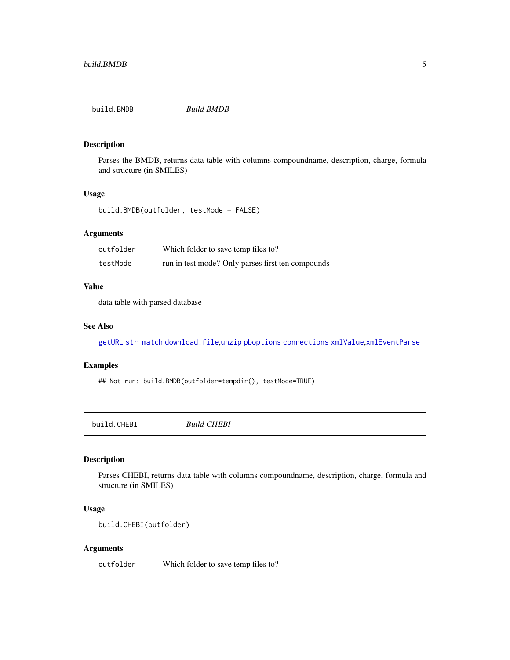<span id="page-4-0"></span>

Parses the BMDB, returns data table with columns compoundname, description, charge, formula and structure (in SMILES)

#### Usage

```
build.BMDB(outfolder, testMode = FALSE)
```
# Arguments

| outfolder | Which folder to save temp files to?               |
|-----------|---------------------------------------------------|
| testMode  | run in test mode? Only parses first ten compounds |

#### Value

data table with parsed database

#### See Also

[getURL](#page-0-0) [str\\_match](#page-0-0) [download.file](#page-0-0),[unzip](#page-0-0) [pboptions](#page-0-0) [connections](#page-0-0) [xmlValue](#page-0-0),[xmlEventParse](#page-0-0)

#### Examples

## Not run: build.BMDB(outfolder=tempdir(), testMode=TRUE)

build.CHEBI *Build CHEBI*

# Description

Parses CHEBI, returns data table with columns compoundname, description, charge, formula and structure (in SMILES)

# Usage

```
build.CHEBI(outfolder)
```
#### Arguments

outfolder Which folder to save temp files to?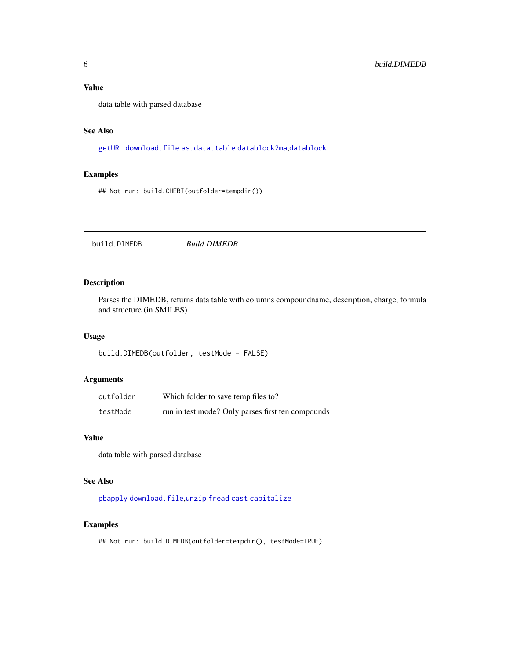<span id="page-5-0"></span>data table with parsed database

#### See Also

[getURL](#page-0-0) [download.file](#page-0-0) [as.data.table](#page-0-0) [datablock2ma](#page-0-0),[datablock](#page-0-0)

# Examples

## Not run: build.CHEBI(outfolder=tempdir())

build.DIMEDB *Build DIMEDB*

# Description

Parses the DIMEDB, returns data table with columns compoundname, description, charge, formula and structure (in SMILES)

#### Usage

```
build.DIMEDB(outfolder, testMode = FALSE)
```
# Arguments

| outfolder | Which folder to save temp files to?               |
|-----------|---------------------------------------------------|
| testMode  | run in test mode? Only parses first ten compounds |

# Value

data table with parsed database

# See Also

[pbapply](#page-0-0) [download.file](#page-0-0),[unzip](#page-0-0) [fread](#page-0-0) [cast](#page-0-0) [capitalize](#page-0-0)

# Examples

## Not run: build.DIMEDB(outfolder=tempdir(), testMode=TRUE)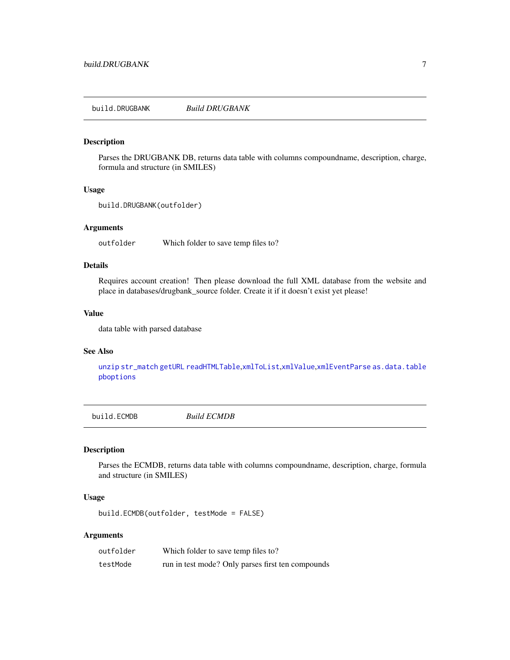<span id="page-6-0"></span>build.DRUGBANK *Build DRUGBANK*

# Description

Parses the DRUGBANK DB, returns data table with columns compoundname, description, charge, formula and structure (in SMILES)

#### Usage

```
build.DRUGBANK(outfolder)
```
#### Arguments

outfolder Which folder to save temp files to?

#### Details

Requires account creation! Then please download the full XML database from the website and place in databases/drugbank\_source folder. Create it if it doesn't exist yet please!

#### Value

data table with parsed database

#### See Also

[unzip](#page-0-0) [str\\_match](#page-0-0) [getURL](#page-0-0) [readHTMLTable](#page-0-0),[xmlToList](#page-0-0),[xmlValue](#page-0-0),[xmlEventParse](#page-0-0) [as.data.table](#page-0-0) [pboptions](#page-0-0)

build.ECMDB *Build ECMDB*

#### Description

Parses the ECMDB, returns data table with columns compoundname, description, charge, formula and structure (in SMILES)

#### Usage

build.ECMDB(outfolder, testMode = FALSE)

#### Arguments

| outfolder | Which folder to save temp files to?               |
|-----------|---------------------------------------------------|
| testMode  | run in test mode? Only parses first ten compounds |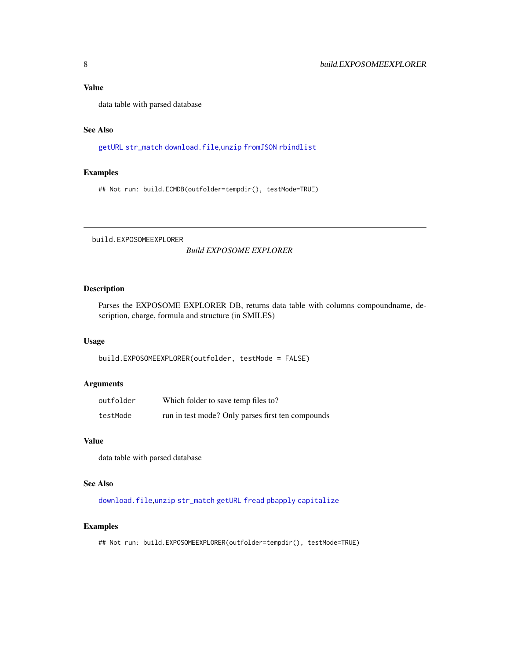<span id="page-7-0"></span>data table with parsed database

#### See Also

[getURL](#page-0-0) [str\\_match](#page-0-0) [download.file](#page-0-0),[unzip](#page-0-0) [fromJSON](#page-0-0) [rbindlist](#page-0-0)

#### Examples

## Not run: build.ECMDB(outfolder=tempdir(), testMode=TRUE)

build.EXPOSOMEEXPLORER

*Build EXPOSOME EXPLORER*

# Description

Parses the EXPOSOME EXPLORER DB, returns data table with columns compoundname, description, charge, formula and structure (in SMILES)

#### Usage

build.EXPOSOMEEXPLORER(outfolder, testMode = FALSE)

#### Arguments

| outfolder | Which folder to save temp files to?               |
|-----------|---------------------------------------------------|
| testMode  | run in test mode? Only parses first ten compounds |

# Value

data table with parsed database

#### See Also

[download.file](#page-0-0),[unzip](#page-0-0) [str\\_match](#page-0-0) [getURL](#page-0-0) [fread](#page-0-0) [pbapply](#page-0-0) [capitalize](#page-0-0)

#### Examples

## Not run: build.EXPOSOMEEXPLORER(outfolder=tempdir(), testMode=TRUE)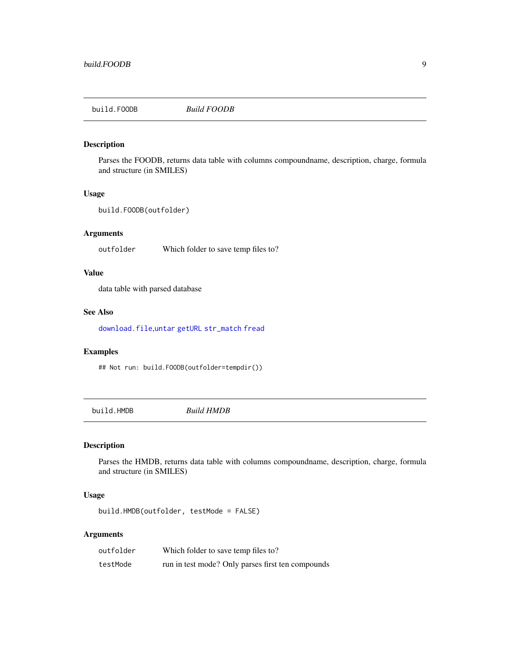<span id="page-8-0"></span>build.FOODB *Build FOODB*

# Description

Parses the FOODB, returns data table with columns compoundname, description, charge, formula and structure (in SMILES)

#### Usage

```
build.FOODB(outfolder)
```
# Arguments

outfolder Which folder to save temp files to?

# Value

data table with parsed database

#### See Also

[download.file](#page-0-0),[untar](#page-0-0) [getURL](#page-0-0) [str\\_match](#page-0-0) [fread](#page-0-0)

#### Examples

## Not run: build.FOODB(outfolder=tempdir())

build.HMDB *Build HMDB*

# Description

Parses the HMDB, returns data table with columns compoundname, description, charge, formula and structure (in SMILES)

# Usage

build.HMDB(outfolder, testMode = FALSE)

#### Arguments

| outfolder | Which folder to save temp files to?               |
|-----------|---------------------------------------------------|
| testMode  | run in test mode? Only parses first ten compounds |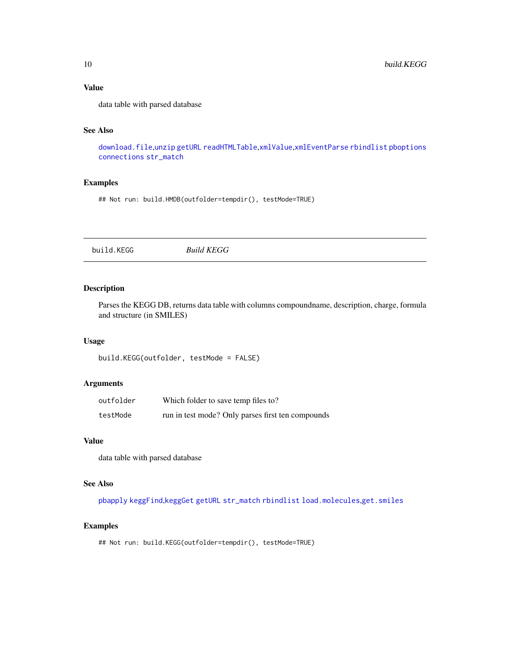data table with parsed database

#### See Also

[download.file](#page-0-0),[unzip](#page-0-0) [getURL](#page-0-0) [readHTMLTable](#page-0-0),[xmlValue](#page-0-0),[xmlEventParse](#page-0-0) [rbindlist](#page-0-0) [pboptions](#page-0-0) [connections](#page-0-0) [str\\_match](#page-0-0)

# Examples

## Not run: build.HMDB(outfolder=tempdir(), testMode=TRUE)

build.KEGG *Build KEGG*

# Description

Parses the KEGG DB, returns data table with columns compoundname, description, charge, formula and structure (in SMILES)

#### Usage

build.KEGG(outfolder, testMode = FALSE)

#### Arguments

| outfolder | Which folder to save temp files to?               |
|-----------|---------------------------------------------------|
| testMode  | run in test mode? Only parses first ten compounds |

# Value

data table with parsed database

#### See Also

[pbapply](#page-0-0) [keggFind](#page-0-0),[keggGet](#page-0-0) [getURL](#page-0-0) [str\\_match](#page-0-0) [rbindlist](#page-0-0) [load.molecules](#page-0-0),[get.smiles](#page-0-0)

#### Examples

## Not run: build.KEGG(outfolder=tempdir(), testMode=TRUE)

<span id="page-9-0"></span>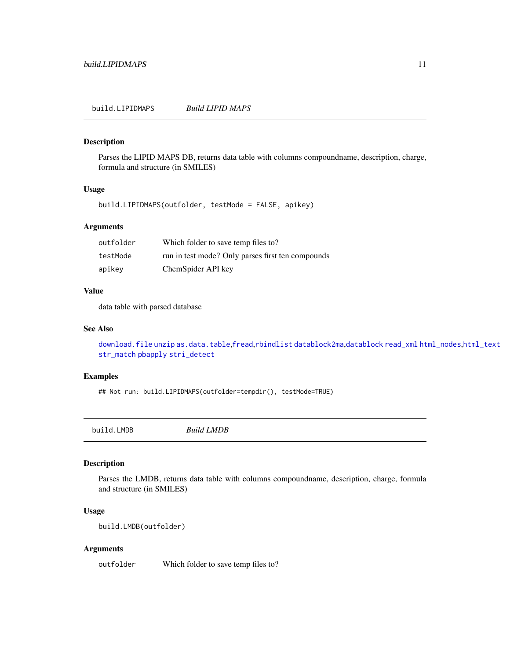<span id="page-10-0"></span>Parses the LIPID MAPS DB, returns data table with columns compoundname, description, charge, formula and structure (in SMILES)

#### Usage

build.LIPIDMAPS(outfolder, testMode = FALSE, apikey)

#### Arguments

| outfolder | Which folder to save temp files to?               |
|-----------|---------------------------------------------------|
| testMode  | run in test mode? Only parses first ten compounds |
| apikey    | ChemSpider API key                                |

#### Value

data table with parsed database

#### See Also

[download.file](#page-0-0) [unzip](#page-0-0) [as.data.table](#page-0-0),[fread](#page-0-0),[rbindlist](#page-0-0) [datablock2ma](#page-0-0),[datablock](#page-0-0) [read\\_xml](#page-0-0) [html\\_nodes](#page-0-0),[html\\_text](#page-0-0) [str\\_match](#page-0-0) [pbapply](#page-0-0) [stri\\_detect](#page-0-0)

# Examples

## Not run: build.LIPIDMAPS(outfolder=tempdir(), testMode=TRUE)

build.LMDB *Build LMDB*

# Description

Parses the LMDB, returns data table with columns compoundname, description, charge, formula and structure (in SMILES)

#### Usage

build.LMDB(outfolder)

#### Arguments

outfolder Which folder to save temp files to?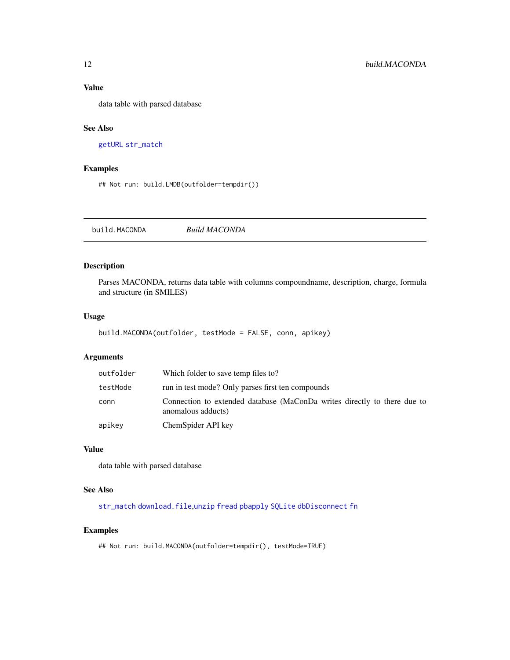<span id="page-11-0"></span>data table with parsed database

#### See Also

[getURL](#page-0-0) [str\\_match](#page-0-0)

#### Examples

## Not run: build.LMDB(outfolder=tempdir())

build.MACONDA *Build MACONDA*

#### Description

Parses MACONDA, returns data table with columns compoundname, description, charge, formula and structure (in SMILES)

#### Usage

```
build.MACONDA(outfolder, testMode = FALSE, conn, apikey)
```
# Arguments

| outfolder | Which folder to save temp files to?                                                            |
|-----------|------------------------------------------------------------------------------------------------|
| testMode  | run in test mode? Only parses first ten compounds                                              |
| conn      | Connection to extended database (MaConDa writes directly to there due to<br>anomalous adducts) |
| apikey    | ChemSpider API key                                                                             |

# Value

data table with parsed database

# See Also

[str\\_match](#page-0-0) [download.file](#page-0-0),[unzip](#page-0-0) [fread](#page-0-0) [pbapply](#page-0-0) [SQLite](#page-0-0) [dbDisconnect](#page-0-0) [fn](#page-0-0)

# Examples

## Not run: build.MACONDA(outfolder=tempdir(), testMode=TRUE)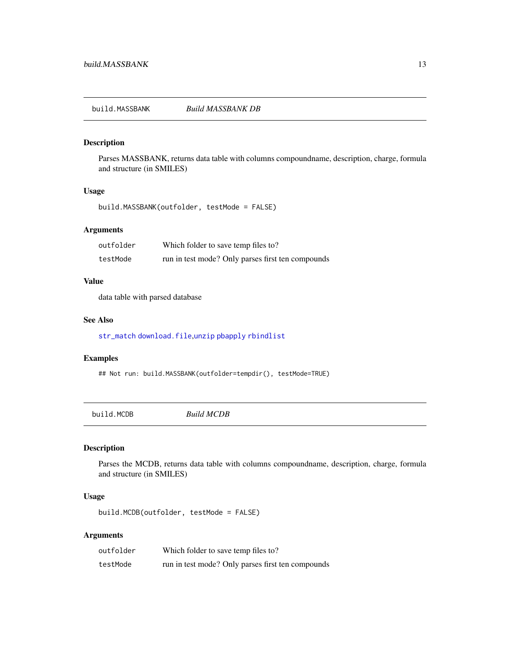<span id="page-12-0"></span>build.MASSBANK *Build MASSBANK DB*

#### Description

Parses MASSBANK, returns data table with columns compoundname, description, charge, formula and structure (in SMILES)

#### Usage

build.MASSBANK(outfolder, testMode = FALSE)

#### Arguments

| outfolder | Which folder to save temp files to?               |
|-----------|---------------------------------------------------|
| testMode  | run in test mode? Only parses first ten compounds |

#### Value

data table with parsed database

#### See Also

[str\\_match](#page-0-0) [download.file](#page-0-0),[unzip](#page-0-0) [pbapply](#page-0-0) [rbindlist](#page-0-0)

#### Examples

## Not run: build.MASSBANK(outfolder=tempdir(), testMode=TRUE)

build.MCDB *Build MCDB*

# Description

Parses the MCDB, returns data table with columns compoundname, description, charge, formula and structure (in SMILES)

#### Usage

build.MCDB(outfolder, testMode = FALSE)

# Arguments

| outfolder | Which folder to save temp files to?               |
|-----------|---------------------------------------------------|
| testMode  | run in test mode? Only parses first ten compounds |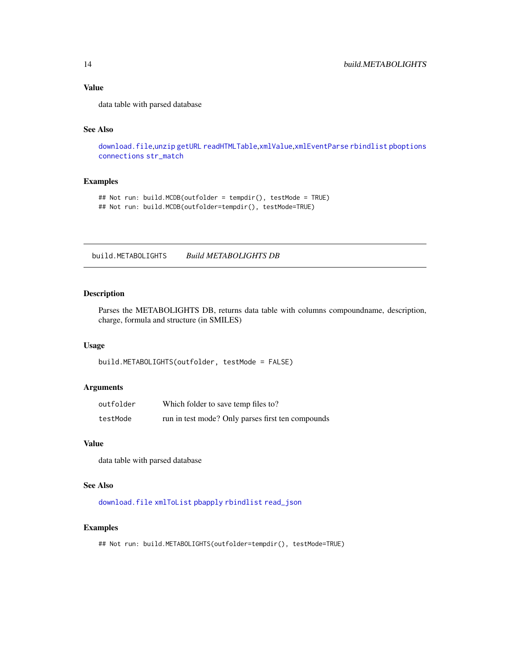data table with parsed database

# See Also

[download.file](#page-0-0),[unzip](#page-0-0) [getURL](#page-0-0) [readHTMLTable](#page-0-0),[xmlValue](#page-0-0),[xmlEventParse](#page-0-0) [rbindlist](#page-0-0) [pboptions](#page-0-0) [connections](#page-0-0) [str\\_match](#page-0-0)

# Examples

```
## Not run: build.MCDB(outfolder = tempdir(), testMode = TRUE)
## Not run: build.MCDB(outfolder=tempdir(), testMode=TRUE)
```
build.METABOLIGHTS *Build METABOLIGHTS DB*

#### Description

Parses the METABOLIGHTS DB, returns data table with columns compoundname, description, charge, formula and structure (in SMILES)

#### Usage

```
build.METABOLIGHTS(outfolder, testMode = FALSE)
```
#### Arguments

| outfolder | Which folder to save temp files to?               |
|-----------|---------------------------------------------------|
| testMode  | run in test mode? Only parses first ten compounds |

#### Value

data table with parsed database

#### See Also

[download.file](#page-0-0) [xmlToList](#page-0-0) [pbapply](#page-0-0) [rbindlist](#page-0-0) [read\\_json](#page-0-0)

#### Examples

## Not run: build.METABOLIGHTS(outfolder=tempdir(), testMode=TRUE)

<span id="page-13-0"></span>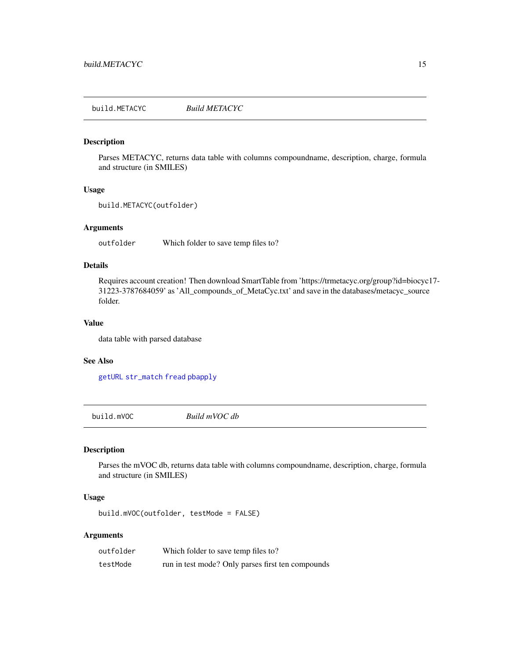<span id="page-14-0"></span>build.METACYC *Build METACYC*

# Description

Parses METACYC, returns data table with columns compoundname, description, charge, formula and structure (in SMILES)

#### Usage

```
build.METACYC(outfolder)
```
#### Arguments

outfolder Which folder to save temp files to?

#### Details

Requires account creation! Then download SmartTable from 'https://trmetacyc.org/group?id=biocyc17- 31223-3787684059' as 'All\_compounds\_of\_MetaCyc.txt' and save in the databases/metacyc\_source folder.

#### Value

data table with parsed database

#### See Also

[getURL](#page-0-0) [str\\_match](#page-0-0) [fread](#page-0-0) [pbapply](#page-0-0)

build.mVOC *Build mVOC db*

#### Description

Parses the mVOC db, returns data table with columns compoundname, description, charge, formula and structure (in SMILES)

#### Usage

build.mVOC(outfolder, testMode = FALSE)

# Arguments

| outfolder | Which folder to save temp files to?               |
|-----------|---------------------------------------------------|
| testMode  | run in test mode? Only parses first ten compounds |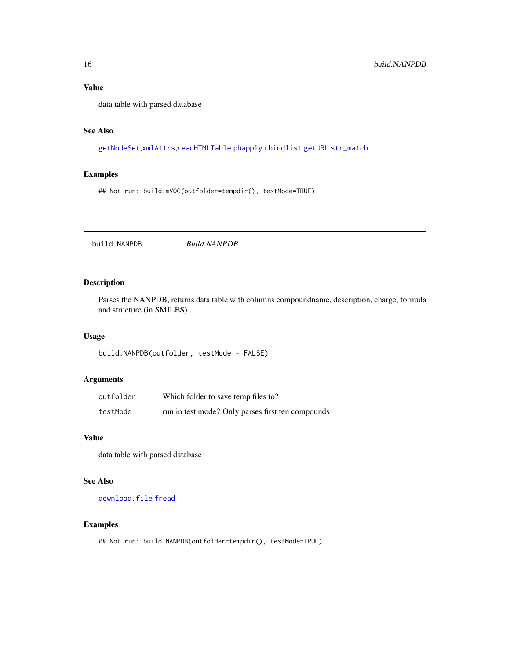<span id="page-15-0"></span>data table with parsed database

# See Also

[getNodeSet](#page-0-0),[xmlAttrs](#page-0-0),[readHTMLTable](#page-0-0) [pbapply](#page-0-0) [rbindlist](#page-0-0) [getURL](#page-0-0) [str\\_match](#page-0-0)

# Examples

## Not run: build.mVOC(outfolder=tempdir(), testMode=TRUE)

build.NANPDB *Build NANPDB*

# Description

Parses the NANPDB, returns data table with columns compoundname, description, charge, formula and structure (in SMILES)

#### Usage

build.NANPDB(outfolder, testMode = FALSE)

#### Arguments

| outfolder | Which folder to save temp files to?               |
|-----------|---------------------------------------------------|
| testMode  | run in test mode? Only parses first ten compounds |

#### Value

data table with parsed database

# See Also

[download.file](#page-0-0) [fread](#page-0-0)

#### Examples

## Not run: build.NANPDB(outfolder=tempdir(), testMode=TRUE)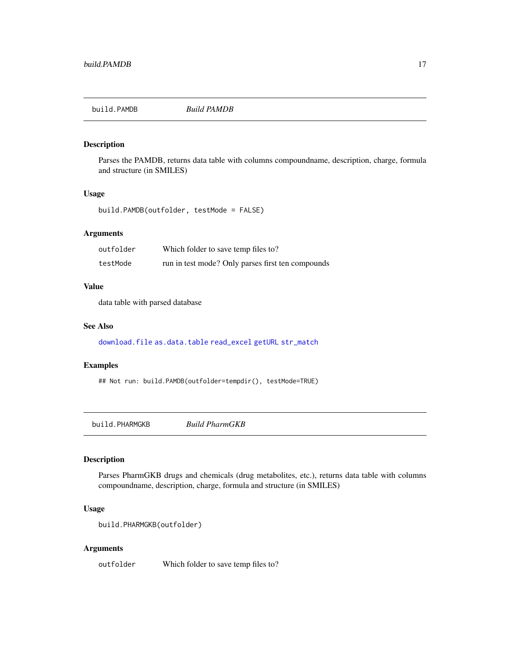<span id="page-16-0"></span>

Parses the PAMDB, returns data table with columns compoundname, description, charge, formula and structure (in SMILES)

#### Usage

build.PAMDB(outfolder, testMode = FALSE)

# Arguments

| outfolder | Which folder to save temp files to?               |
|-----------|---------------------------------------------------|
| testMode  | run in test mode? Only parses first ten compounds |

#### Value

data table with parsed database

#### See Also

[download.file](#page-0-0) [as.data.table](#page-0-0) [read\\_excel](#page-0-0) [getURL](#page-0-0) [str\\_match](#page-0-0)

#### Examples

## Not run: build.PAMDB(outfolder=tempdir(), testMode=TRUE)

build.PHARMGKB *Build PharmGKB*

# Description

Parses PharmGKB drugs and chemicals (drug metabolites, etc.), returns data table with columns compoundname, description, charge, formula and structure (in SMILES)

# Usage

```
build.PHARMGKB(outfolder)
```
#### Arguments

outfolder Which folder to save temp files to?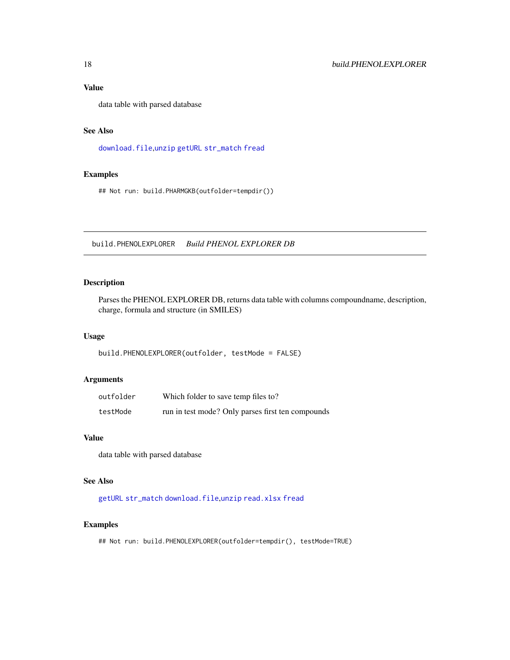<span id="page-17-0"></span>data table with parsed database

# See Also

[download.file](#page-0-0),[unzip](#page-0-0) [getURL](#page-0-0) [str\\_match](#page-0-0) [fread](#page-0-0)

# Examples

## Not run: build.PHARMGKB(outfolder=tempdir())

build.PHENOLEXPLORER *Build PHENOL EXPLORER DB*

# Description

Parses the PHENOL EXPLORER DB, returns data table with columns compoundname, description, charge, formula and structure (in SMILES)

#### Usage

build.PHENOLEXPLORER(outfolder, testMode = FALSE)

#### Arguments

| outfolder | Which folder to save temp files to?               |
|-----------|---------------------------------------------------|
| testMode  | run in test mode? Only parses first ten compounds |

# Value

data table with parsed database

# See Also

[getURL](#page-0-0) [str\\_match](#page-0-0) [download.file](#page-0-0),[unzip](#page-0-0) [read.xlsx](#page-0-0) [fread](#page-0-0)

#### Examples

## Not run: build.PHENOLEXPLORER(outfolder=tempdir(), testMode=TRUE)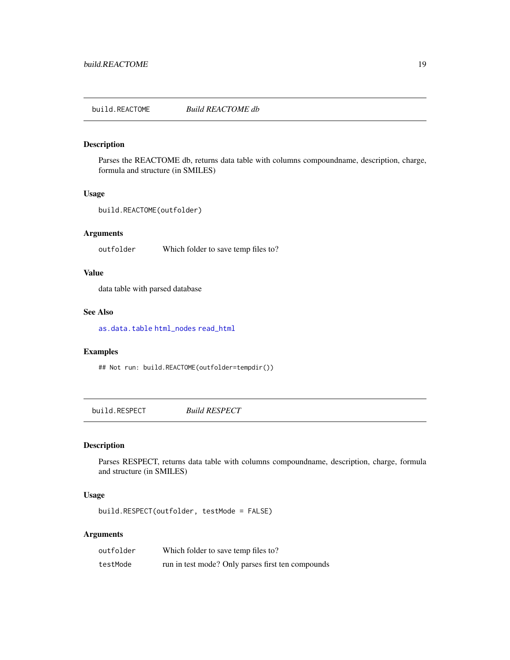<span id="page-18-0"></span>build.REACTOME *Build REACTOME db*

# Description

Parses the REACTOME db, returns data table with columns compoundname, description, charge, formula and structure (in SMILES)

#### Usage

```
build.REACTOME(outfolder)
```
# Arguments

outfolder Which folder to save temp files to?

#### Value

data table with parsed database

#### See Also

[as.data.table](#page-0-0) [html\\_nodes](#page-0-0) [read\\_html](#page-0-0)

#### Examples

## Not run: build.REACTOME(outfolder=tempdir())

build.RESPECT *Build RESPECT*

# Description

Parses RESPECT, returns data table with columns compoundname, description, charge, formula and structure (in SMILES)

# Usage

build.RESPECT(outfolder, testMode = FALSE)

#### Arguments

| outfolder | Which folder to save temp files to?               |
|-----------|---------------------------------------------------|
| testMode  | run in test mode? Only parses first ten compounds |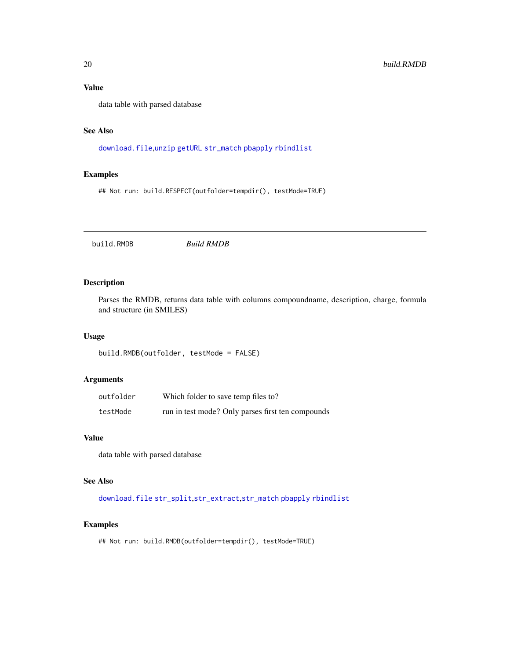data table with parsed database

# See Also

[download.file](#page-0-0),[unzip](#page-0-0) [getURL](#page-0-0) [str\\_match](#page-0-0) [pbapply](#page-0-0) [rbindlist](#page-0-0)

# Examples

## Not run: build.RESPECT(outfolder=tempdir(), testMode=TRUE)

build.RMDB *Build RMDB*

# Description

Parses the RMDB, returns data table with columns compoundname, description, charge, formula and structure (in SMILES)

#### Usage

```
build.RMDB(outfolder, testMode = FALSE)
```
# Arguments

| outfolder | Which folder to save temp files to?               |
|-----------|---------------------------------------------------|
| testMode  | run in test mode? Only parses first ten compounds |

#### Value

data table with parsed database

# See Also

[download.file](#page-0-0) [str\\_split](#page-0-0),[str\\_extract](#page-0-0),[str\\_match](#page-0-0) [pbapply](#page-0-0) [rbindlist](#page-0-0)

#### Examples

## Not run: build.RMDB(outfolder=tempdir(), testMode=TRUE)

<span id="page-19-0"></span>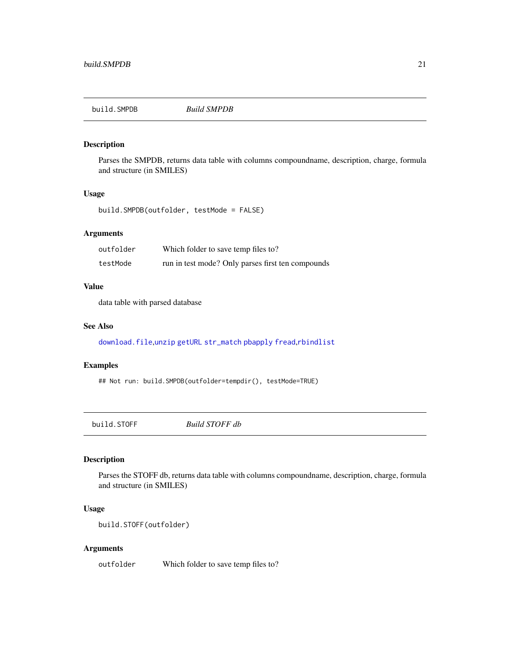<span id="page-20-0"></span>

Parses the SMPDB, returns data table with columns compoundname, description, charge, formula and structure (in SMILES)

#### Usage

build.SMPDB(outfolder, testMode = FALSE)

# Arguments

| outfolder | Which folder to save temp files to?               |
|-----------|---------------------------------------------------|
| testMode  | run in test mode? Only parses first ten compounds |

#### Value

data table with parsed database

#### See Also

[download.file](#page-0-0),[unzip](#page-0-0) [getURL](#page-0-0) [str\\_match](#page-0-0) [pbapply](#page-0-0) [fread](#page-0-0),[rbindlist](#page-0-0)

#### Examples

## Not run: build.SMPDB(outfolder=tempdir(), testMode=TRUE)

build.STOFF *Build STOFF db*

# Description

Parses the STOFF db, returns data table with columns compoundname, description, charge, formula and structure (in SMILES)

# Usage

build.STOFF(outfolder)

#### Arguments

outfolder Which folder to save temp files to?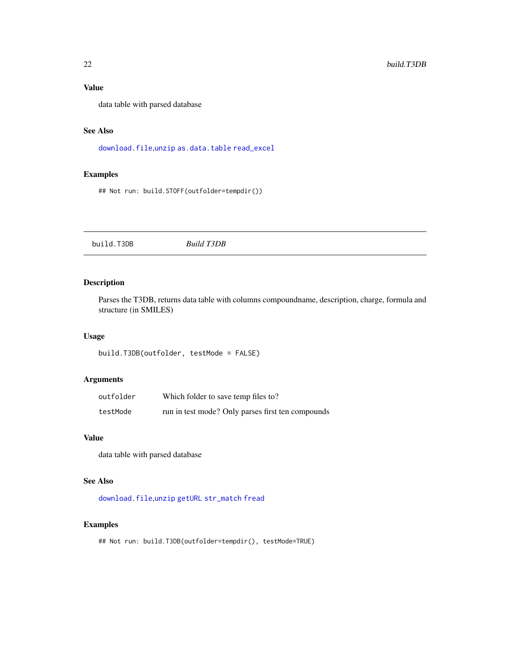<span id="page-21-0"></span>data table with parsed database

# See Also

[download.file](#page-0-0),[unzip](#page-0-0) [as.data.table](#page-0-0) [read\\_excel](#page-0-0)

# Examples

## Not run: build.STOFF(outfolder=tempdir())

build.T3DB *Build T3DB*

# Description

Parses the T3DB, returns data table with columns compoundname, description, charge, formula and structure (in SMILES)

#### Usage

```
build.T3DB(outfolder, testMode = FALSE)
```
# Arguments

| outfolder | Which folder to save temp files to?               |
|-----------|---------------------------------------------------|
| testMode  | run in test mode? Only parses first ten compounds |

# Value

data table with parsed database

# See Also

[download.file](#page-0-0),[unzip](#page-0-0) [getURL](#page-0-0) [str\\_match](#page-0-0) [fread](#page-0-0)

# Examples

## Not run: build.T3DB(outfolder=tempdir(), testMode=TRUE)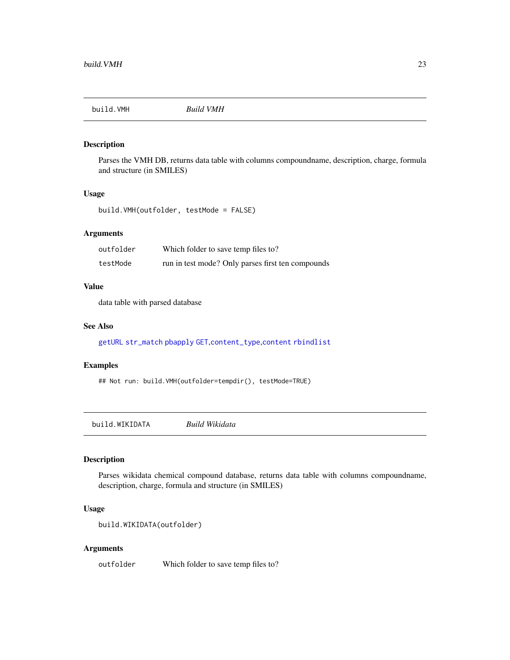<span id="page-22-0"></span>

Parses the VMH DB, returns data table with columns compoundname, description, charge, formula and structure (in SMILES)

#### Usage

```
build.VMH(outfolder, testMode = FALSE)
```
# Arguments

| outfolder | Which folder to save temp files to?               |
|-----------|---------------------------------------------------|
| testMode  | run in test mode? Only parses first ten compounds |

#### Value

data table with parsed database

#### See Also

[getURL](#page-0-0) [str\\_match](#page-0-0) [pbapply](#page-0-0) [GET](#page-0-0),[content\\_type](#page-0-0),[content](#page-0-0) [rbindlist](#page-0-0)

#### Examples

## Not run: build.VMH(outfolder=tempdir(), testMode=TRUE)

build.WIKIDATA *Build Wikidata*

# Description

Parses wikidata chemical compound database, returns data table with columns compoundname, description, charge, formula and structure (in SMILES)

# Usage

```
build.WIKIDATA(outfolder)
```
#### Arguments

outfolder Which folder to save temp files to?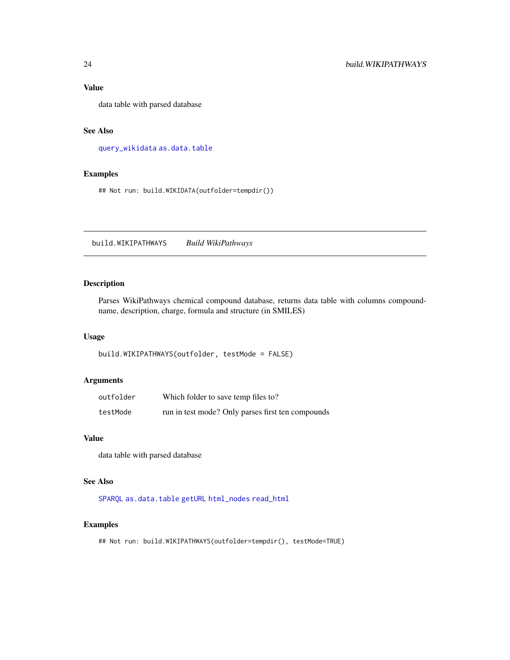<span id="page-23-0"></span>data table with parsed database

# See Also

[query\\_wikidata](#page-0-0) [as.data.table](#page-0-0)

# Examples

## Not run: build.WIKIDATA(outfolder=tempdir())

build.WIKIPATHWAYS *Build WikiPathways*

# Description

Parses WikiPathways chemical compound database, returns data table with columns compoundname, description, charge, formula and structure (in SMILES)

#### Usage

```
build.WIKIPATHWAYS(outfolder, testMode = FALSE)
```
# Arguments

| outfolder | Which folder to save temp files to?               |
|-----------|---------------------------------------------------|
| testMode  | run in test mode? Only parses first ten compounds |

#### Value

data table with parsed database

# See Also

[SPARQL](#page-0-0) [as.data.table](#page-0-0) [getURL](#page-0-0) [html\\_nodes](#page-0-0) [read\\_html](#page-0-0)

#### Examples

## Not run: build.WIKIPATHWAYS(outfolder=tempdir(), testMode=TRUE)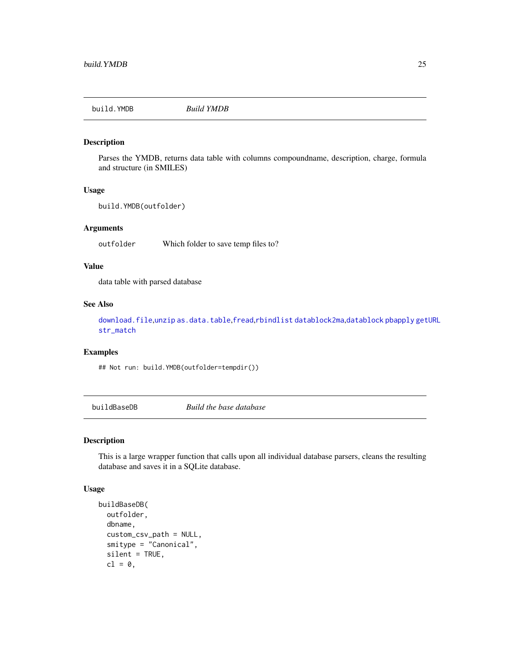<span id="page-24-0"></span>

Parses the YMDB, returns data table with columns compoundname, description, charge, formula and structure (in SMILES)

#### Usage

```
build.YMDB(outfolder)
```
#### Arguments

outfolder Which folder to save temp files to?

#### Value

data table with parsed database

#### See Also

[download.file](#page-0-0),[unzip](#page-0-0) [as.data.table](#page-0-0),[fread](#page-0-0),[rbindlist](#page-0-0) [datablock2ma](#page-0-0),[datablock](#page-0-0) [pbapply](#page-0-0) [getURL](#page-0-0) [str\\_match](#page-0-0)

# Examples

## Not run: build.YMDB(outfolder=tempdir())

buildBaseDB *Build the base database*

#### Description

This is a large wrapper function that calls upon all individual database parsers, cleans the resulting database and saves it in a SQLite database.

#### Usage

```
buildBaseDB(
  outfolder,
  dbname,
  custom_csv_path = NULL,
  smitype = "Canonical",
  silent = TRUE,
 cl = 0,
```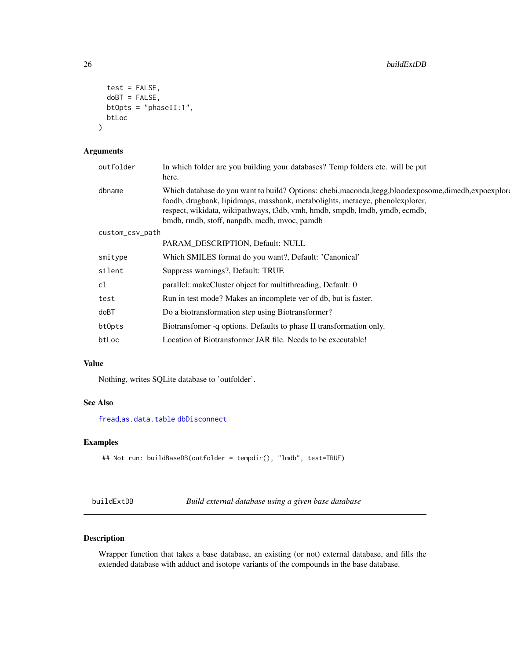```
test = FALSE,doBT = F</math>ALSE,btOpts = "phaseII:1",
btLoc
```
# Arguments

)

| outfolder       | In which folder are you building your databases? Temp folders etc. will be put<br>here.                                                                                                                                                                                                                               |
|-----------------|-----------------------------------------------------------------------------------------------------------------------------------------------------------------------------------------------------------------------------------------------------------------------------------------------------------------------|
| dbname          | Which database do you want to build? Options: chebi, maconda, kegg, bloodexposome, dimedb, expoexplore<br>foodb, drugbank, lipidmaps, massbank, metabolights, metacyc, phenolexplorer,<br>respect, wikidata, wikipathways, t3db, vmh, hmdb, smpdb, lmdb, ymdb, ecmdb,<br>bmdb, rmdb, stoff, nanpdb, mcdb, mvoc, pamdb |
| custom_csv_path |                                                                                                                                                                                                                                                                                                                       |
|                 | PARAM DESCRIPTION, Default: NULL                                                                                                                                                                                                                                                                                      |
| smitype         | Which SMILES format do you want?, Default: 'Canonical'                                                                                                                                                                                                                                                                |
| silent          | Suppress warnings?, Default: TRUE                                                                                                                                                                                                                                                                                     |
| cl              | parallel::makeCluster object for multithreading, Default: 0                                                                                                                                                                                                                                                           |
| test            | Run in test mode? Makes an incomplete ver of db, but is faster.                                                                                                                                                                                                                                                       |
| doBT            | Do a biotransformation step using Biotransformer?                                                                                                                                                                                                                                                                     |
| bt0pts          | Biotransfomer -q options. Defaults to phase II transformation only.                                                                                                                                                                                                                                                   |
| btLoc           | Location of Biotransformer JAR file. Needs to be executable!                                                                                                                                                                                                                                                          |
|                 |                                                                                                                                                                                                                                                                                                                       |

# Value

Nothing, writes SQLite database to 'outfolder'.

#### See Also

[fread](#page-0-0),[as.data.table](#page-0-0) [dbDisconnect](#page-0-0)

# Examples

```
## Not run: buildBaseDB(outfolder = tempdir(), "lmdb", test=TRUE)
```
buildExtDB *Build external database using a given base database*

# Description

Wrapper function that takes a base database, an existing (or not) external database, and fills the extended database with adduct and isotope variants of the compounds in the base database.

<span id="page-25-0"></span>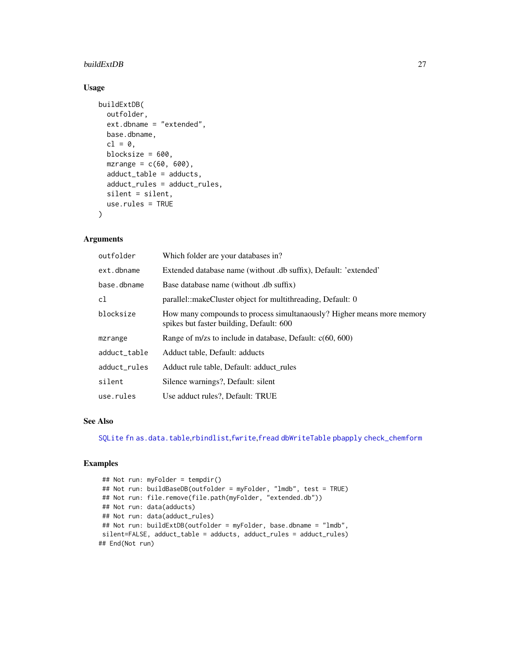#### <span id="page-26-0"></span>buildExtDB 27

#### Usage

```
buildExtDB(
  outfolder,
  ext.dbname = "extended",
  base.dbname,
  cl = 0,
 blocksize = 600,
  mzrange = c(60, 600),
  adduct_table = adducts,
  adduct_rules = adduct_rules,
  silent = silent,
 use.rules = TRUE
\lambda
```
#### Arguments

| outfolder    | Which folder are your databases in?                                                                                |
|--------------|--------------------------------------------------------------------------------------------------------------------|
| ext.dbname   | Extended database name (without .db suffix), Default: 'extended'                                                   |
| base.dbname  | Base database name (without .db suffix)                                                                            |
| c1           | parallel::makeCluster object for multithreading, Default: 0                                                        |
| blocksize    | How many compounds to process simultanaously? Higher means more memory<br>spikes but faster building, Default: 600 |
| mzrange      | Range of m/zs to include in database, Default: $c(60, 600)$                                                        |
| adduct_table | Adduct table, Default: adducts                                                                                     |
| adduct_rules | Adduct rule table, Default: adduct rules                                                                           |
| silent       | Silence warnings?, Default: silent                                                                                 |
| use.rules    | Use adduct rules?, Default: TRUE                                                                                   |

# See Also

[SQLite](#page-0-0) [fn](#page-0-0) [as.data.table](#page-0-0),[rbindlist](#page-0-0),[fwrite](#page-0-0),[fread](#page-0-0) [dbWriteTable](#page-0-0) [pbapply](#page-0-0) [check\\_chemform](#page-0-0)

```
## Not run: myFolder = tempdir()
## Not run: buildBaseDB(outfolder = myFolder, "lmdb", test = TRUE)
## Not run: file.remove(file.path(myFolder, "extended.db"))
## Not run: data(adducts)
## Not run: data(adduct_rules)
## Not run: buildExtDB(outfolder = myFolder, base.dbname = "lmdb",
silent=FALSE, adduct_table = adducts, adduct_rules = adduct_rules)
## End(Not run)
```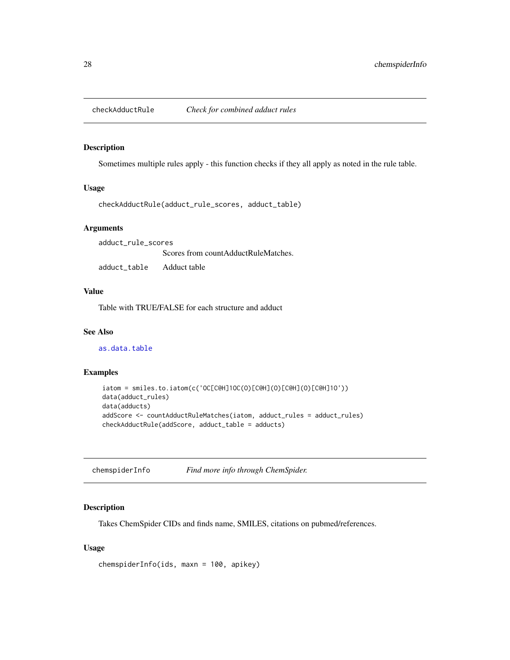<span id="page-27-0"></span>checkAdductRule *Check for combined adduct rules*

#### Description

Sometimes multiple rules apply - this function checks if they all apply as noted in the rule table.

#### Usage

checkAdductRule(adduct\_rule\_scores, adduct\_table)

#### Arguments

adduct\_rule\_scores Scores from countAdductRuleMatches. adduct\_table Adduct table

# Value

Table with TRUE/FALSE for each structure and adduct

#### See Also

[as.data.table](#page-0-0)

# Examples

```
iatom = smiles.to.iatom(c('OC[C@H]1OC(O)[C@H](O)[C@H](O)[C@H]1O'))
data(adduct_rules)
data(adducts)
addScore <- countAdductRuleMatches(iatom, adduct_rules = adduct_rules)
checkAdductRule(addScore, adduct_table = adducts)
```
chemspiderInfo *Find more info through ChemSpider.*

#### Description

Takes ChemSpider CIDs and finds name, SMILES, citations on pubmed/references.

#### Usage

chemspiderInfo(ids, maxn = 100, apikey)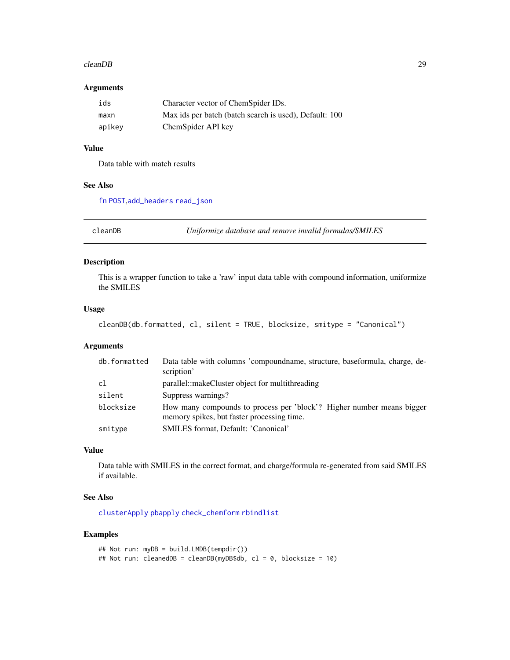#### <span id="page-28-0"></span>cleanDB 29

#### Arguments

| ids    | Character vector of ChemSpider IDs.                    |
|--------|--------------------------------------------------------|
| maxn   | Max ids per batch (batch search is used), Default: 100 |
| apikev | ChemSpider API key                                     |

# Value

Data table with match results

#### See Also

[fn](#page-0-0) [POST](#page-0-0),[add\\_headers](#page-0-0) [read\\_json](#page-0-0)

cleanDB *Uniformize database and remove invalid formulas/SMILES*

# Description

This is a wrapper function to take a 'raw' input data table with compound information, uniformize the SMILES

#### Usage

```
cleanDB(db.formatted, cl, silent = TRUE, blocksize, smitype = "Canonical")
```
# Arguments

| db.formatted | Data table with columns 'compoundname, structure, baseformula, charge, de-<br>scription'                            |
|--------------|---------------------------------------------------------------------------------------------------------------------|
| c1           | parallel::makeCluster object for multithreading                                                                     |
| silent       | Suppress warnings?                                                                                                  |
| blocksize    | How many compounds to process per 'block'? Higher number means bigger<br>memory spikes, but faster processing time. |
| smitype      | SMILES format, Default: 'Canonical'                                                                                 |

#### Value

Data table with SMILES in the correct format, and charge/formula re-generated from said SMILES if available.

#### See Also

[clusterApply](#page-0-0) [pbapply](#page-0-0) [check\\_chemform](#page-0-0) [rbindlist](#page-0-0)

```
## Not run: myDB = build.LMDB(tempdir())
## Not run: cleanedDB = cleanDB(myDB$db, cl = 0, blocksize = 10)
```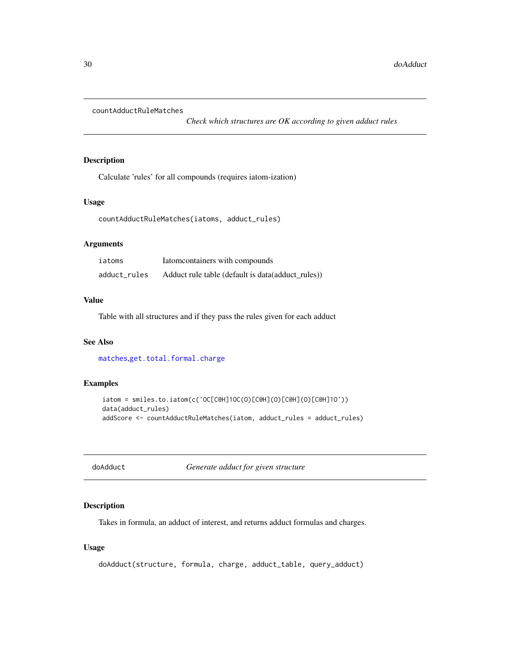<span id="page-29-0"></span>countAdductRuleMatches

*Check which structures are OK according to given adduct rules*

# Description

Calculate 'rules' for all compounds (requires iatom-ization)

# Usage

countAdductRuleMatches(iatoms, adduct\_rules)

# Arguments

| iatoms       | Iatom containers with compounds                   |
|--------------|---------------------------------------------------|
| adduct_rules | Adduct rule table (default is data(adduct_rules)) |

#### Value

Table with all structures and if they pass the rules given for each adduct

#### See Also

[matches](#page-0-0),[get.total.formal.charge](#page-0-0)

#### Examples

```
iatom = smiles.to.iatom(c('OC[C@H]1OC(O)[C@H](O)[C@H](O)[C@H]1O'))
data(adduct_rules)
addScore <- countAdductRuleMatches(iatom, adduct_rules = adduct_rules)
```
doAdduct *Generate adduct for given structure*

#### Description

Takes in formula, an adduct of interest, and returns adduct formulas and charges.

#### Usage

```
doAdduct(structure, formula, charge, adduct_table, query_adduct)
```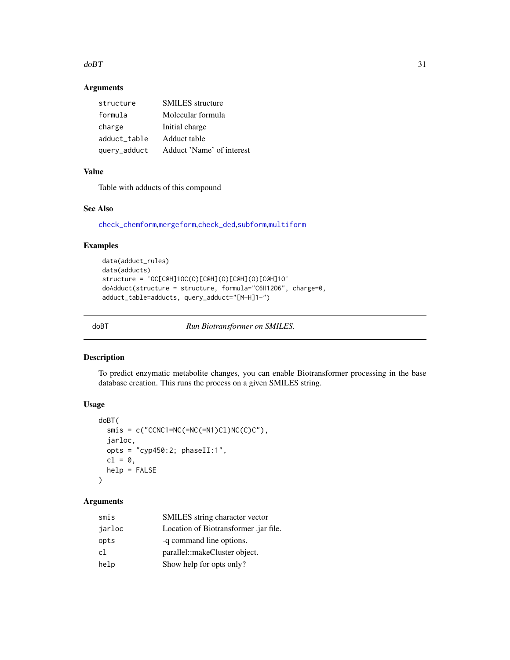#### <span id="page-30-0"></span> $d$ oBT  $31$

# Arguments

| structure    | <b>SMILES</b> structure   |
|--------------|---------------------------|
| formula      | Molecular formula         |
| charge       | Initial charge            |
| adduct table | Adduct table              |
| query_adduct | Adduct 'Name' of interest |

# Value

Table with adducts of this compound

# See Also

[check\\_chemform](#page-0-0),[mergeform](#page-0-0),[check\\_ded](#page-0-0),[subform](#page-0-0),[multiform](#page-0-0)

#### Examples

```
data(adduct_rules)
data(adducts)
structure = 'OC[C@H]1OC(O)[C@H](O)[C@H](O)[C@H]1O'
doAdduct(structure = structure, formula="C6H12O6", charge=0,
adduct_table=adducts, query_adduct="[M+H]1+")
```
doBT *Run Biotransformer on SMILES.*

# Description

To predict enzymatic metabolite changes, you can enable Biotransformer processing in the base database creation. This runs the process on a given SMILES string.

# Usage

```
doBT(
  smis = c("CCNC1=NC(=NC(=N1)C1)NC(C)C"),
  jarloc,
  opts = "cyp450:2; phaseII:1",
  cl = \emptyset,
  help = FALSE
)
```
# Arguments

| smis   | SMILES string character vector        |
|--------|---------------------------------------|
| jarloc | Location of Biotransformer .jar file. |
| opts   | -q command line options.              |
| cl     | parallel::makeCluster object.         |
| help   | Show help for opts only?              |
|        |                                       |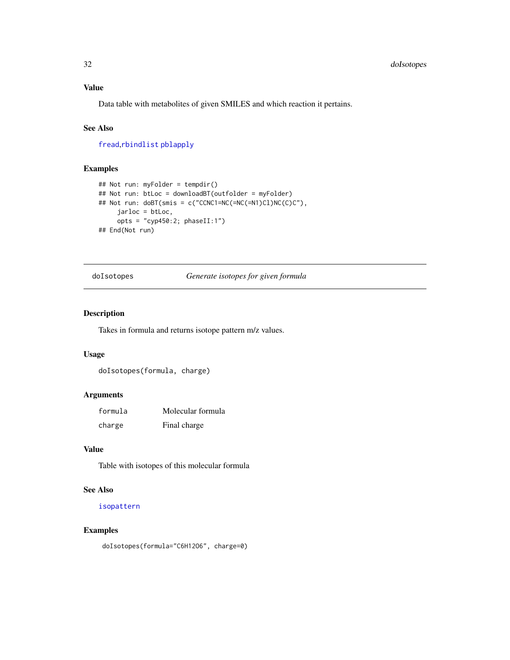<span id="page-31-0"></span>Data table with metabolites of given SMILES and which reaction it pertains.

# See Also

[fread](#page-0-0),[rbindlist](#page-0-0) [pblapply](#page-0-0)

# Examples

```
## Not run: myFolder = tempdir()
## Not run: btLoc = downloadBT(outfolder = myFolder)
## Not run: doBT(smis = c("CCNC1=NC(=NC(=N1)Cl)NC(C)C"),
     jarloc = btLoc,
     opts = "cyp450:2; phaseII:1")## End(Not run)
```
doIsotopes *Generate isotopes for given formula*

#### Description

Takes in formula and returns isotope pattern m/z values.

#### Usage

doIsotopes(formula, charge)

#### Arguments

| formula | Molecular formula |
|---------|-------------------|
| charge  | Final charge      |

# Value

Table with isotopes of this molecular formula

# See Also

[isopattern](#page-0-0)

#### Examples

doIsotopes(formula="C6H12O6", charge=0)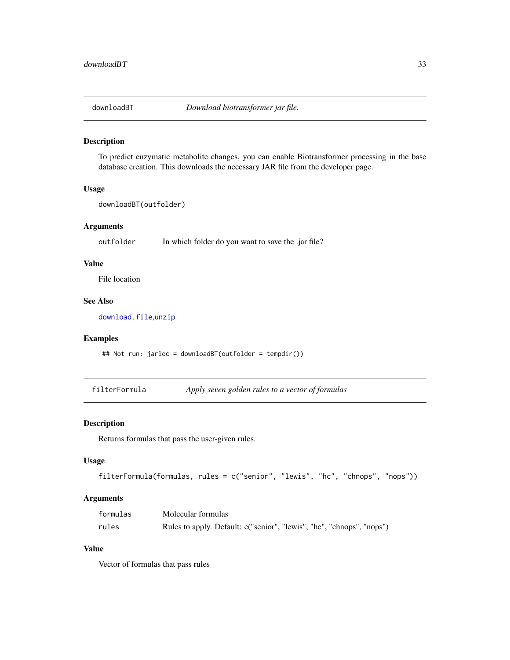<span id="page-32-0"></span>

To predict enzymatic metabolite changes, you can enable Biotransformer processing in the base database creation. This downloads the necessary JAR file from the developer page.

#### Usage

```
downloadBT(outfolder)
```
#### Arguments

outfolder In which folder do you want to save the .jar file?

#### Value

File location

#### See Also

[download.file](#page-0-0), [unzip](#page-0-0)

#### Examples

```
## Not run: jarloc = downloadBT(outfolder = tempdir())
```
filterFormula *Apply seven golden rules to a vector of formulas*

#### Description

Returns formulas that pass the user-given rules.

#### Usage

```
filterFormula(formulas, rules = c("senior", "lewis", "hc", "chnops", "nops"))
```
# Arguments

| formulas | Molecular formulas                                                    |
|----------|-----------------------------------------------------------------------|
| rules    | Rules to apply. Default: c("senior", "lewis", "hc", "chnops", "nops") |

#### Value

Vector of formulas that pass rules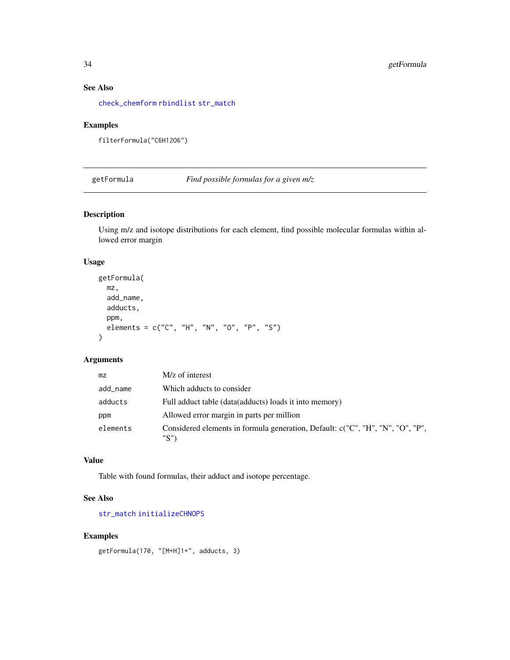#### See Also

[check\\_chemform](#page-0-0) [rbindlist](#page-0-0) [str\\_match](#page-0-0)

# Examples

filterFormula("C6H12O6")

getFormula *Find possible formulas for a given m/z*

# Description

Using m/z and isotope distributions for each element, find possible molecular formulas within allowed error margin

# Usage

```
getFormula(
  mz,
  add_name,
  adducts,
  ppm,
  elements = c("C", "H", "N", "O", "P", "S")
)
```
# Arguments

| mz       | M/z of interest                                                                        |
|----------|----------------------------------------------------------------------------------------|
| add_name | Which adducts to consider                                                              |
| adducts  | Full adduct table (data(adducts) loads it into memory)                                 |
| ppm      | Allowed error margin in parts per million                                              |
| elements | Considered elements in formula generation, Default: c("C", "H", "N", "O", "P",<br>"S") |

# Value

Table with found formulas, their adduct and isotope percentage.

# See Also

[str\\_match](#page-0-0) [initializeCHNOPS](#page-0-0)

#### Examples

getFormula(170, "[M+H]1+", adducts, 3)

<span id="page-33-0"></span>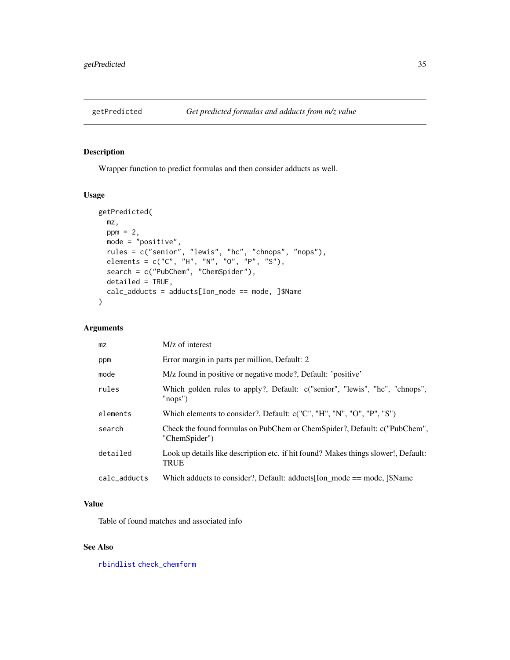<span id="page-34-0"></span>

Wrapper function to predict formulas and then consider adducts as well.

#### Usage

```
getPredicted(
 mz,
 ppm = 2,
 mode = "positive",
  rules = c("senior", "lewis", "hc", "chnops", "nops"),
 elements = c("C", "H", "N", "O", "P", "S"),search = c("PubChem", "ChemSpider"),
 detailed = TRUE,
 calc_adducts = adducts[Ion_mode == mode, ]$Name
)
```
# Arguments

| mz           | M/z of interest                                                                                   |
|--------------|---------------------------------------------------------------------------------------------------|
| ppm          | Error margin in parts per million, Default: 2                                                     |
| mode         | M/z found in positive or negative mode?, Default: 'positive'                                      |
| rules        | Which golden rules to apply?, Default: c("senior", "lewis", "hc", "chnops",<br>" $nops"$ )        |
| elements     | Which elements to consider?, Default: c("C", "H", "N", "O", "P", "S")                             |
| search       | Check the found formulas on PubChem or ChemSpider?, Default: c("PubChem",<br>"ChemSpider")        |
| detailed     | Look up details like description etc. if hit found? Makes things slower!, Default:<br><b>TRUE</b> |
| calc_adducts | Which adducts to consider?, Default: adducts Ion mode $==$ mode, $ \$$ Name                       |

#### Value

Table of found matches and associated info

#### See Also

[rbindlist](#page-0-0) [check\\_chemform](#page-0-0)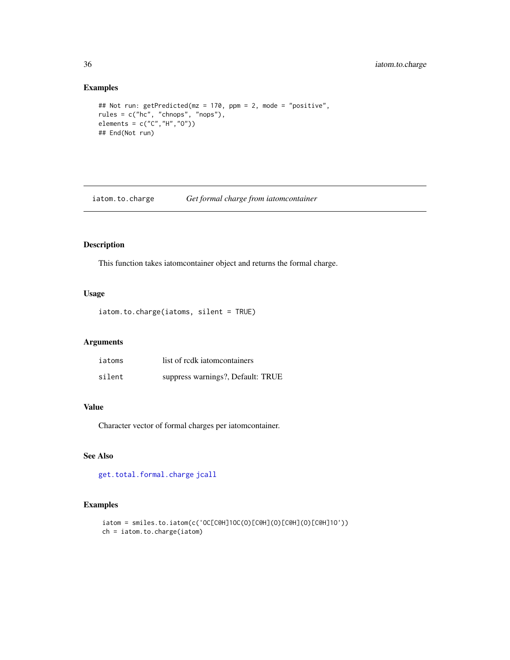# Examples

```
## Not run: getPredicted(mz = 170, ppm = 2, mode = "positive",
rules = c("hc", "chnops", "nops"),
elements = c("C", "H", "O"))
## End(Not run)
```
iatom.to.charge *Get formal charge from iatomcontainer*

# Description

This function takes iatomcontainer object and returns the formal charge.

#### Usage

iatom.to.charge(iatoms, silent = TRUE)

#### Arguments

| iatoms | list of redk iatomeontainers      |
|--------|-----------------------------------|
| silent | suppress warnings?, Default: TRUE |

# Value

Character vector of formal charges per iatomcontainer.

#### See Also

[get.total.formal.charge](#page-0-0) [jcall](#page-0-0)

```
iatom = smiles.to.iatom(c('OC[C@H]1OC(O)[C@H](O)[C@H](O)[C@H]1O'))
ch = iatom.to.charge(iatom)
```
<span id="page-35-0"></span>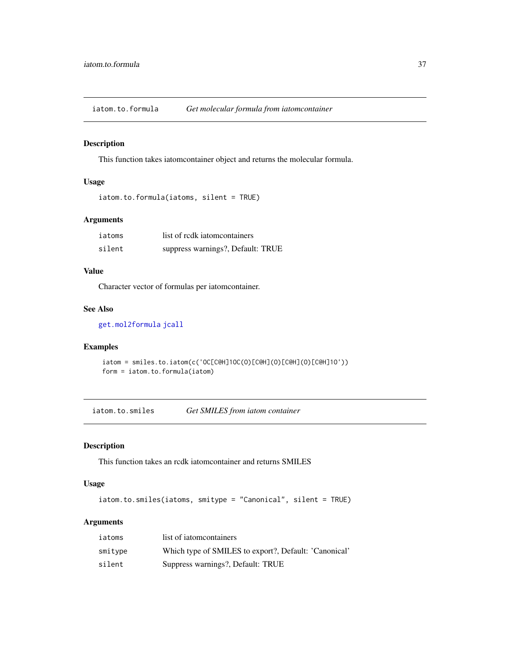<span id="page-36-0"></span>iatom.to.formula *Get molecular formula from iatomcontainer*

# Description

This function takes iatomcontainer object and returns the molecular formula.

# Usage

```
iatom.to.formula(iatoms, silent = TRUE)
```
# Arguments

| iatoms | list of redk iatomeontainers      |
|--------|-----------------------------------|
| silent | suppress warnings?, Default: TRUE |

# Value

Character vector of formulas per iatomcontainer.

#### See Also

[get.mol2formula](#page-0-0) [jcall](#page-0-0)

# Examples

```
iatom = smiles.to.iatom(c('OC[C@H]1OC(O)[C@H](O)[C@H](O)[C@H]1O'))
form = iatom.to.formula(iatom)
```
iatom.to.smiles *Get SMILES from iatom container*

# Description

This function takes an rcdk iatomcontainer and returns SMILES

#### Usage

```
iatom.to.smiles(iatoms, smitype = "Canonical", silent = TRUE)
```
# Arguments

| iatoms  | list of iatom containers                              |
|---------|-------------------------------------------------------|
| smitype | Which type of SMILES to export?, Default: 'Canonical' |
| silent  | Suppress warnings?, Default: TRUE                     |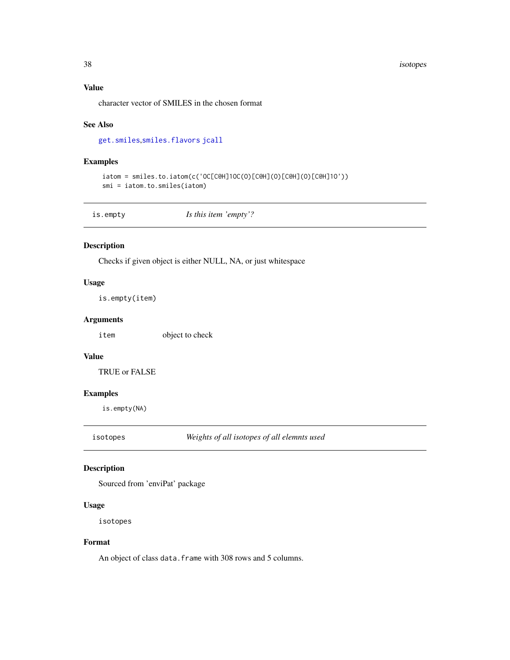#### <span id="page-37-0"></span>38 isotopes

# Value

character vector of SMILES in the chosen format

#### See Also

[get.smiles](#page-0-0),[smiles.flavors](#page-0-0) [jcall](#page-0-0)

# Examples

```
iatom = smiles.to.iatom(c('OC[C@H]1OC(O)[C@H](O)[C@H](O)[C@H]1O'))
smi = iatom.to.smiles(iatom)
```
is.empty *Is this item 'empty'?*

#### Description

Checks if given object is either NULL, NA, or just whitespace

#### Usage

is.empty(item)

# Arguments

item object to check

#### Value

TRUE or FALSE

#### Examples

is.empty(NA)

isotopes *Weights of all isotopes of all elemnts used*

# Description

Sourced from 'enviPat' package

#### Usage

isotopes

#### Format

An object of class data. frame with 308 rows and 5 columns.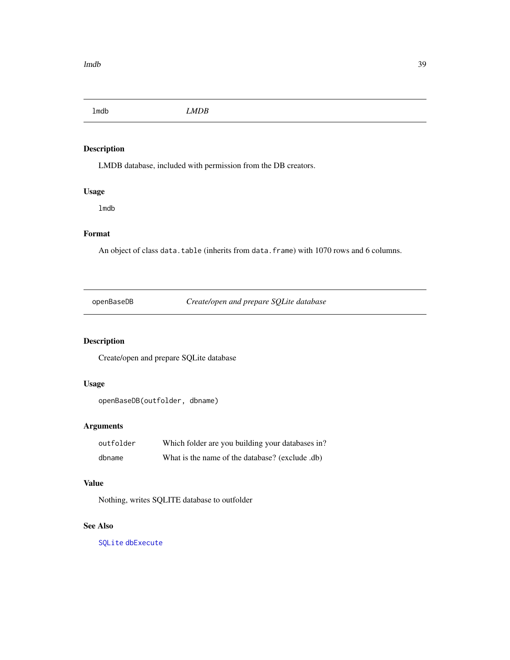<span id="page-38-0"></span>lmdb *LMDB*

# Description

LMDB database, included with permission from the DB creators.

# Usage

lmdb

# Format

An object of class data.table (inherits from data.frame) with 1070 rows and 6 columns.

openBaseDB *Create/open and prepare SQLite database*

# Description

Create/open and prepare SQLite database

# Usage

openBaseDB(outfolder, dbname)

# Arguments

| outfolder | Which folder are you building your databases in? |
|-----------|--------------------------------------------------|
| dbname    | What is the name of the database? (exclude .db)  |

# Value

Nothing, writes SQLITE database to outfolder

#### See Also

[SQLite](#page-0-0) [dbExecute](#page-0-0)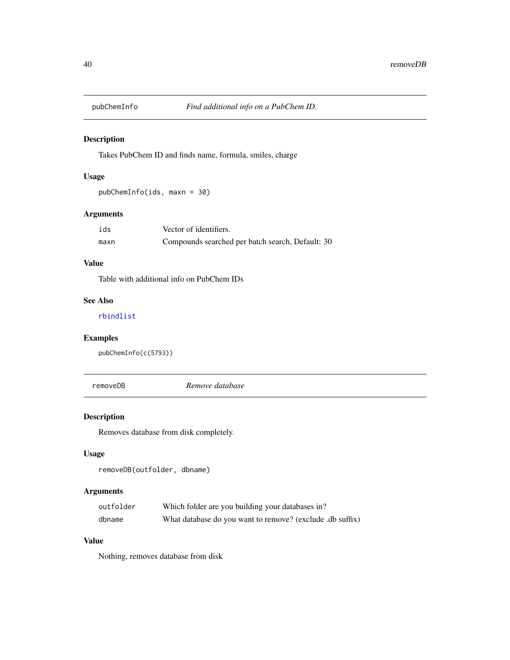<span id="page-39-0"></span>

Takes PubChem ID and finds name, formula, smiles, charge

# Usage

pubChemInfo(ids, maxn = 30)

# Arguments

| ids  | Vector of identifiers.                           |
|------|--------------------------------------------------|
| maxn | Compounds searched per batch search, Default: 30 |

# Value

Table with additional info on PubChem IDs

#### See Also

[rbindlist](#page-0-0)

# Examples

```
pubChemInfo(c(5793))
```
removeDB *Remove database*

# Description

Removes database from disk completely.

# Usage

```
removeDB(outfolder, dbname)
```
# Arguments

| outfolder | Which folder are you building your databases in?          |
|-----------|-----------------------------------------------------------|
| dbname    | What database do you want to remove? (exclude .db suffix) |

# Value

Nothing, removes database from disk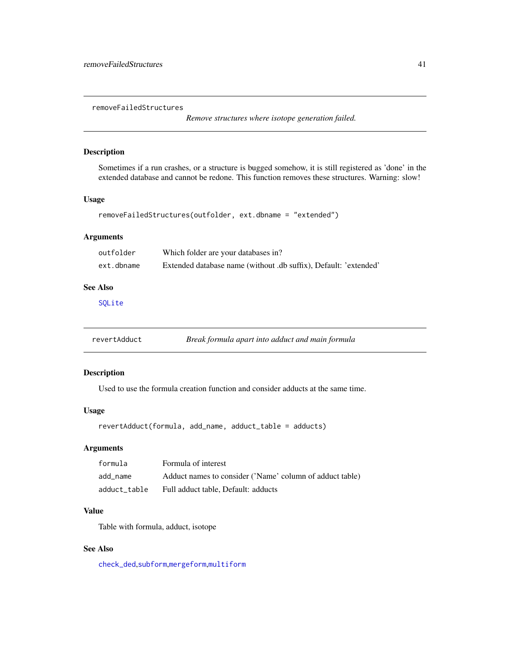<span id="page-40-0"></span>removeFailedStructures

*Remove structures where isotope generation failed.*

#### Description

Sometimes if a run crashes, or a structure is bugged somehow, it is still registered as 'done' in the extended database and cannot be redone. This function removes these structures. Warning: slow!

#### Usage

```
removeFailedStructures(outfolder, ext.dbname = "extended")
```
#### Arguments

| outfolder  | Which folder are your databases in?                              |
|------------|------------------------------------------------------------------|
| ext.dbname | Extended database name (without .db suffix), Default: 'extended' |

#### See Also

[SQLite](#page-0-0)

revertAdduct *Break formula apart into adduct and main formula*

#### Description

Used to use the formula creation function and consider adducts at the same time.

#### Usage

revertAdduct(formula, add\_name, adduct\_table = adducts)

#### Arguments

| formula      | Formula of interest                                      |
|--------------|----------------------------------------------------------|
| add name     | Adduct names to consider ('Name' column of adduct table) |
| adduct table | Full adduct table. Default: adducts                      |

# Value

Table with formula, adduct, isotope

# See Also

[check\\_ded](#page-0-0),[subform](#page-0-0),[mergeform](#page-0-0),[multiform](#page-0-0)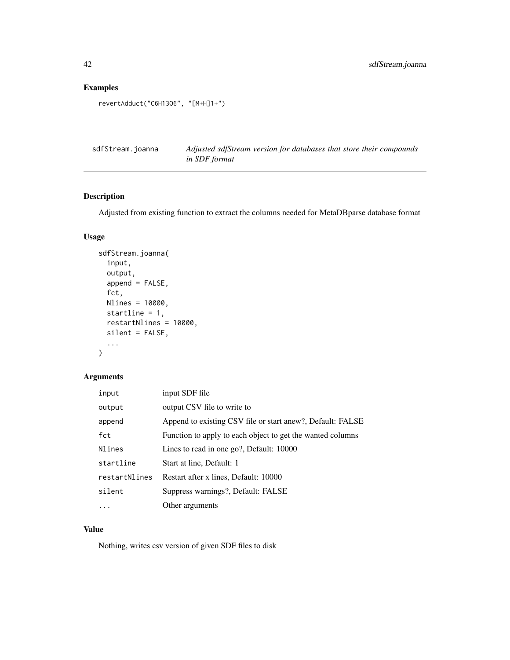# Examples

```
revertAdduct("C6H13O6", "[M+H]1+")
```
sdfStream.joanna *Adjusted sdfStream version for databases that store their compounds in SDF format*

# Description

Adjusted from existing function to extract the columns needed for MetaDBparse database format

# Usage

```
sdfStream.joanna(
  input,
 output,
  append = FALSE,
  fct,
 Nlines = 10000,
  startline = 1,
  restartNlines = 10000,
 silent = FALSE,
  ...
)
```
#### Arguments

| input         | input SDF file                                             |
|---------------|------------------------------------------------------------|
| output        | output CSV file to write to                                |
| append        | Append to existing CSV file or start anew?, Default: FALSE |
| fct           | Function to apply to each object to get the wanted columns |
| Nlines        | Lines to read in one go?, Default: 10000                   |
| startline     | Start at line, Default: 1                                  |
| restartNlines | Restart after x lines, Default: 10000                      |
| silent        | Suppress warnings?, Default: FALSE                         |
| .             | Other arguments                                            |

# Value

Nothing, writes csv version of given SDF files to disk

<span id="page-41-0"></span>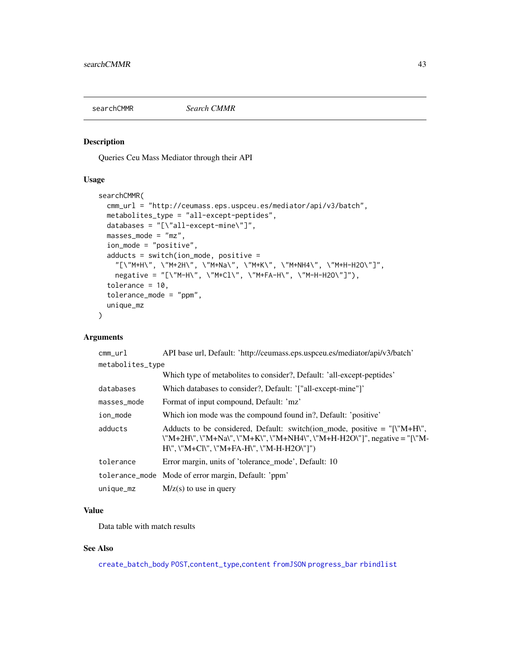<span id="page-42-0"></span>

Queries Ceu Mass Mediator through their API

#### Usage

```
searchCMMR(
 cmm_url = "http://ceumass.eps.uspceu.es/mediator/api/v3/batch",
 metabolites_type = "all-except-peptides",
 databases = "[\"all-except-mine\"]",
 masses_mode = "mz",
  ion_mode = "positive",
  adducts = switch(ion_mode, positive =
    "[\"M+H\", \"M+2H\", \"M+Na\", \"M+K\", \"M+NH4\", \"M+H-H2O\"]",
    negative = "[\"M-H\", \"M+Cl\", \"M+FA-H\", \"M-H-H2O\"]"),
  tolerance = 10,
  tolerance_mode = "ppm",
 unique_mz
\lambda
```
# Arguments

| API base url, Default: 'http://ceumass.eps.uspceu.es/mediator/api/v3/batch'                                                                                                                                                                                                                                           |
|-----------------------------------------------------------------------------------------------------------------------------------------------------------------------------------------------------------------------------------------------------------------------------------------------------------------------|
| metabolites_type                                                                                                                                                                                                                                                                                                      |
| Which type of metabolites to consider?, Default: 'all-except-peptides'                                                                                                                                                                                                                                                |
| Which databases to consider?, Default: '["all-except-mine"]'                                                                                                                                                                                                                                                          |
| Format of input compound, Default: 'mz'                                                                                                                                                                                                                                                                               |
| Which ion mode was the compound found in?, Default: 'positive'                                                                                                                                                                                                                                                        |
| Adducts to be considered, Default: switch(ion_mode, positive = $\lceil \mathbf{W} + \mathbf{H} \mathbf{W} \rceil$ ,<br>\"M+2H\", \"M+Na\", \"M+K\", \"M+NH4\", \"M+H-H2O\"]", negative = "[\"M-<br>$H\Upsilon$ , $\Upsilon$ M+Cl $\Upsilon$ , $\Upsilon$ M+FA-H $\Upsilon$ , $\Upsilon$ M-H-H2O $\Upsilon$ $\Upsilon$ |
| Error margin, units of 'tolerance_mode', Default: 10                                                                                                                                                                                                                                                                  |
| tolerance_mode Mode of error margin, Default: 'ppm'                                                                                                                                                                                                                                                                   |
| $M/z(s)$ to use in query                                                                                                                                                                                                                                                                                              |
|                                                                                                                                                                                                                                                                                                                       |

# Value

Data table with match results

# See Also

[create\\_batch\\_body](#page-0-0) [POST](#page-0-0),[content\\_type](#page-0-0),[content](#page-0-0) [fromJSON](#page-0-0) [progress\\_bar](#page-0-0) [rbindlist](#page-0-0)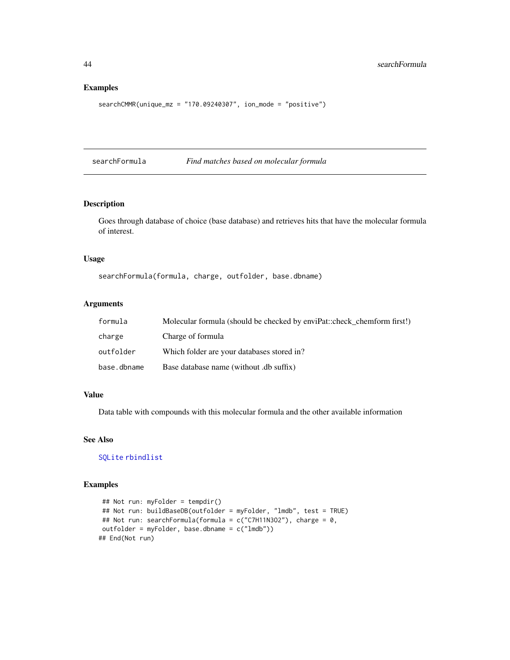#### Examples

```
searchCMMR(unique_mz = "170.09240307", ion_mode = "positive")
```
searchFormula *Find matches based on molecular formula*

#### Description

Goes through database of choice (base database) and retrieves hits that have the molecular formula of interest.

#### Usage

searchFormula(formula, charge, outfolder, base.dbname)

#### Arguments

| formula     | Molecular formula (should be checked by enviPat::check chemform first!) |
|-------------|-------------------------------------------------------------------------|
| charge      | Charge of formula                                                       |
| outfolder   | Which folder are your databases stored in?                              |
| base.dbname | Base database name (without .db suffix)                                 |

# Value

Data table with compounds with this molecular formula and the other available information

#### See Also

[SQLite](#page-0-0) [rbindlist](#page-0-0)

```
## Not run: myFolder = tempdir()
## Not run: buildBaseDB(outfolder = myFolder, "lmdb", test = TRUE)
## Not run: searchFormula(formula = c("C7H11N3O2"), charge = 0,
outfolder = myFolder, base.dbname = c("lmdb"))
## End(Not run)
```
<span id="page-43-0"></span>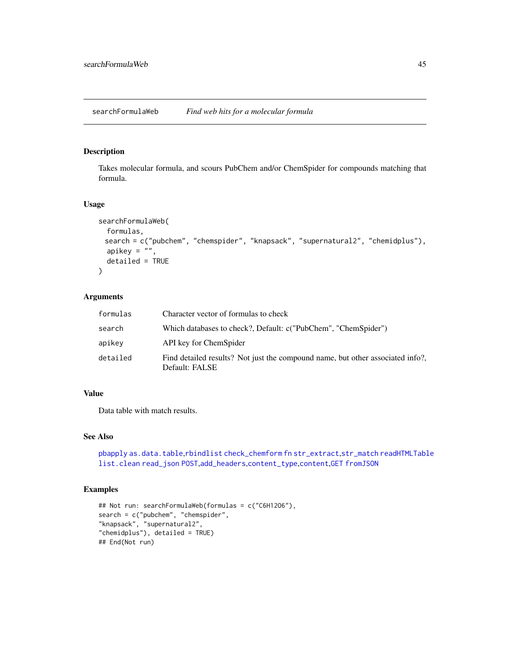<span id="page-44-0"></span>Takes molecular formula, and scours PubChem and/or ChemSpider for compounds matching that formula.

#### Usage

```
searchFormulaWeb(
  formulas,
 search = c("pubchem", "chemspider", "knapsack", "supernatural2", "chemidplus"),
  apikey = ",
 detailed = TRUE
)
```
#### Arguments

| formulas | Character vector of formulas to check                                                            |
|----------|--------------------------------------------------------------------------------------------------|
| search   | Which databases to check?, Default: c("PubChem", "ChemSpider")                                   |
| apikey   | API key for ChemSpider                                                                           |
| detailed | Find detailed results? Not just the compound name, but other associated info?,<br>Default: FALSE |

# Value

Data table with match results.

# See Also

```
pbapply as.data.table,rbindlist check_chemform fn str_extract,str_match readHTMLTable
list.clean read_json POST,add_headers,content_type,content,GET fromJSON
```

```
## Not run: searchFormulaWeb(formulas = c("C6H12O6"),
search = c("pubchem", "chemspider",
"knapsack", "supernatural2",
"chemidplus"), detailed = TRUE)
## End(Not run)
```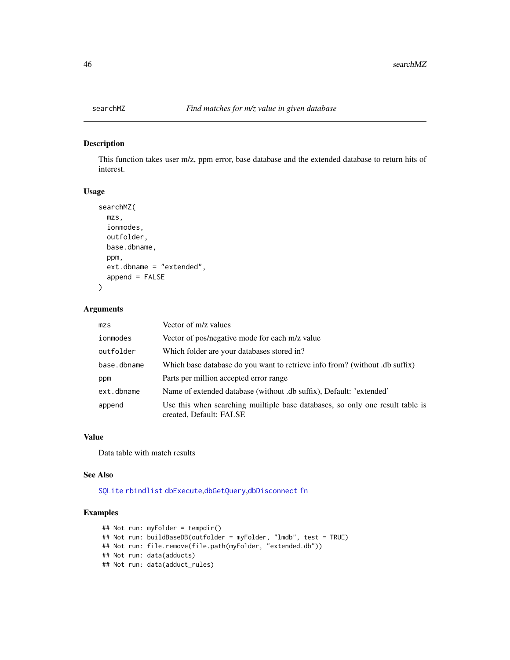<span id="page-45-0"></span>

This function takes user m/z, ppm error, base database and the extended database to return hits of interest.

# Usage

```
searchMZ(
 mzs,
  ionmodes,
  outfolder,
 base.dbname,
  ppm,
  ext.dbname = "extended",
  append = FALSE
)
```
#### Arguments

| mzs         | Vector of m/z values                                                                                     |
|-------------|----------------------------------------------------------------------------------------------------------|
| ionmodes    | Vector of pos/negative mode for each m/z value                                                           |
| outfolder   | Which folder are your databases stored in?                                                               |
| base.dbname | Which base database do you want to retrieve info from? (without .db suffix)                              |
| ppm         | Parts per million accepted error range                                                                   |
| ext.dbname  | Name of extended database (without .db suffix), Default: 'extended'                                      |
| append      | Use this when searching muiltiple base databases, so only one result table is<br>created, Default: FALSE |

#### Value

Data table with match results

#### See Also

[SQLite](#page-0-0) [rbindlist](#page-0-0) [dbExecute](#page-0-0),[dbGetQuery](#page-0-0),[dbDisconnect](#page-0-0) [fn](#page-0-0)

```
## Not run: myFolder = tempdir()
## Not run: buildBaseDB(outfolder = myFolder, "lmdb", test = TRUE)
## Not run: file.remove(file.path(myFolder, "extended.db"))
## Not run: data(adducts)
## Not run: data(adduct_rules)
```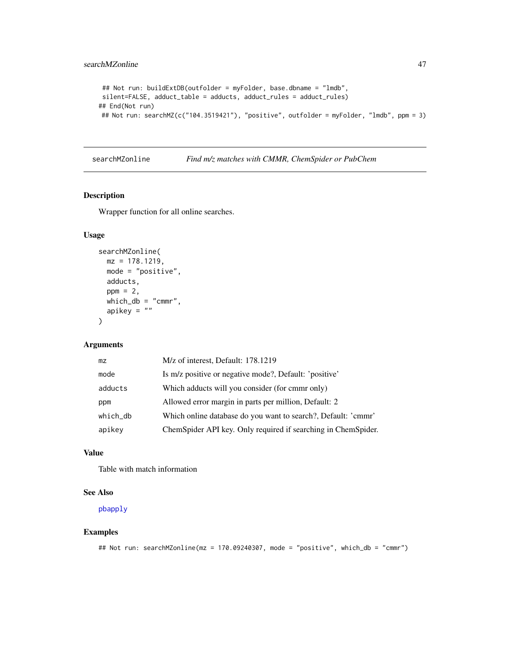```
## Not run: buildExtDB(outfolder = myFolder, base.dbname = "lmdb",
silent=FALSE, adduct_table = adducts, adduct_rules = adduct_rules)
## End(Not run)
## Not run: searchMZ(c("104.3519421"), "positive", outfolder = myFolder, "lmdb", ppm = 3)
```
searchMZonline *Find m/z matches with CMMR, ChemSpider or PubChem*

#### Description

Wrapper function for all online searches.

#### Usage

```
searchMZonline(
 mz = 178.1219,
 mode = "positive",
 adducts,
 ppm = 2,
 which_db = "cmm",
 apikey = "")
```
# Arguments

| mz       | M/z of interest, Default: 178.1219                            |
|----------|---------------------------------------------------------------|
| mode     | Is m/z positive or negative mode?, Default: 'positive'        |
| adducts  | Which adducts will you consider (for cmmr only)               |
| ppm      | Allowed error margin in parts per million, Default: 2         |
| which_db | Which online database do you want to search?, Default: 'cmmr' |
| apikey   | ChemSpider API key. Only required if searching in ChemSpider. |
|          |                                                               |

#### Value

Table with match information

#### See Also

[pbapply](#page-0-0)

```
## Not run: searchMZonline(mz = 170.09240307, mode = "positive", which_db = "cmmr")
```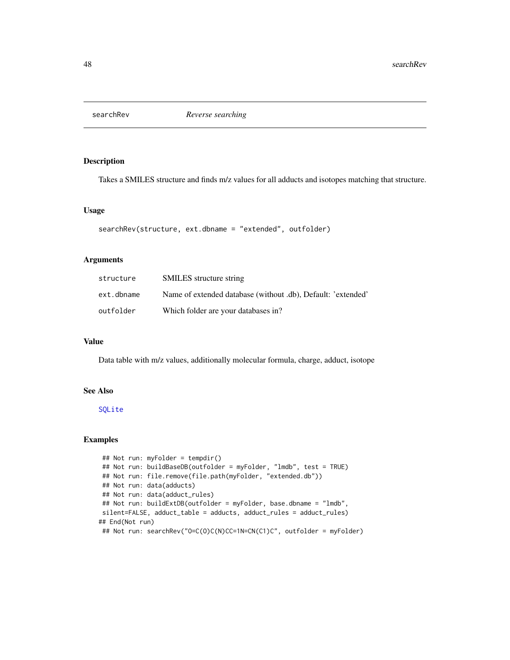<span id="page-47-0"></span>

Takes a SMILES structure and finds m/z values for all adducts and isotopes matching that structure.

#### Usage

```
searchRev(structure, ext.dbname = "extended", outfolder)
```
#### Arguments

| structure  | <b>SMILES</b> structure string                               |
|------------|--------------------------------------------------------------|
| ext.dbname | Name of extended database (without .db), Default: 'extended' |
| outfolder  | Which folder are your databases in?                          |

#### Value

Data table with m/z values, additionally molecular formula, charge, adduct, isotope

# See Also

[SQLite](#page-0-0)

```
## Not run: myFolder = tempdir()
## Not run: buildBaseDB(outfolder = myFolder, "lmdb", test = TRUE)
## Not run: file.remove(file.path(myFolder, "extended.db"))
## Not run: data(adducts)
## Not run: data(adduct_rules)
## Not run: buildExtDB(outfolder = myFolder, base.dbname = "lmdb",
silent=FALSE, adduct_table = adducts, adduct_rules = adduct_rules)
## End(Not run)
## Not run: searchRev("O=C(O)C(N)CC=1N=CN(C1)C", outfolder = myFolder)
```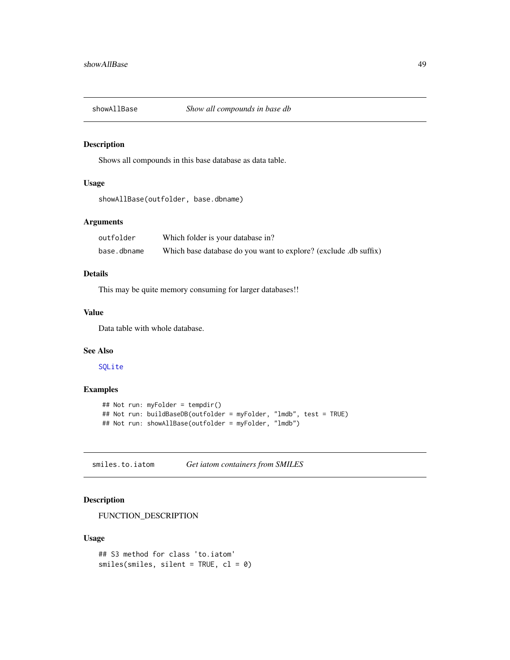<span id="page-48-0"></span>

Shows all compounds in this base database as data table.

# Usage

```
showAllBase(outfolder, base.dbname)
```
#### Arguments

| outfolder   | Which folder is your database in?                                |
|-------------|------------------------------------------------------------------|
| base.dbname | Which base database do you want to explore? (exclude .db suffix) |

#### Details

This may be quite memory consuming for larger databases!!

#### Value

Data table with whole database.

#### See Also

[SQLite](#page-0-0)

#### Examples

```
## Not run: myFolder = tempdir()
## Not run: buildBaseDB(outfolder = myFolder, "lmdb", test = TRUE)
## Not run: showAllBase(outfolder = myFolder, "lmdb")
```
smiles.to.iatom *Get iatom containers from SMILES*

# Description

FUNCTION\_DESCRIPTION

#### Usage

```
## S3 method for class 'to.iatom'
smiles(smles, silent = TRUE, cl = 0)
```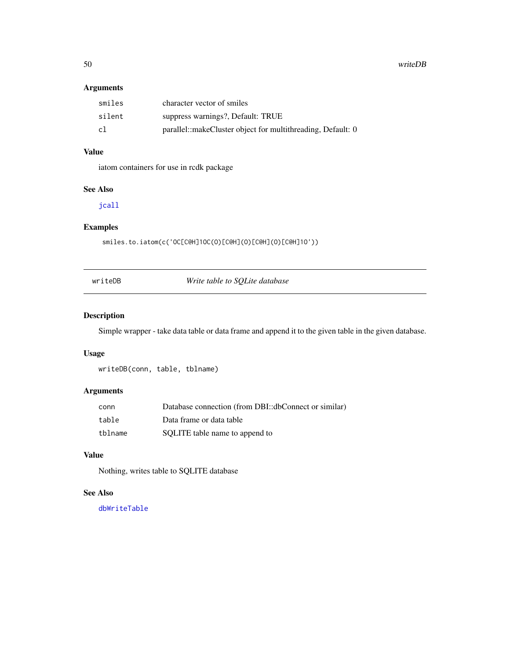<span id="page-49-0"></span>50 writeDB

# Arguments

| smiles | character vector of smiles                                  |
|--------|-------------------------------------------------------------|
| silent | suppress warnings?, Default: TRUE                           |
| c1     | parallel::makeCluster object for multithreading, Default: 0 |

# Value

iatom containers for use in rcdk package

# See Also

[jcall](#page-0-0)

# Examples

smiles.to.iatom(c('OC[C@H]1OC(O)[C@H](O)[C@H](O)[C@H]1O'))

writeDB *Write table to SQLite database*

# Description

Simple wrapper - take data table or data frame and append it to the given table in the given database.

# Usage

writeDB(conn, table, tblname)

#### Arguments

| conn    | Database connection (from DBI::dbConnect or similar) |
|---------|------------------------------------------------------|
| table   | Data frame or data table                             |
| tblname | SQLITE table name to append to                       |

#### Value

Nothing, writes table to SQLITE database

# See Also

[dbWriteTable](#page-0-0)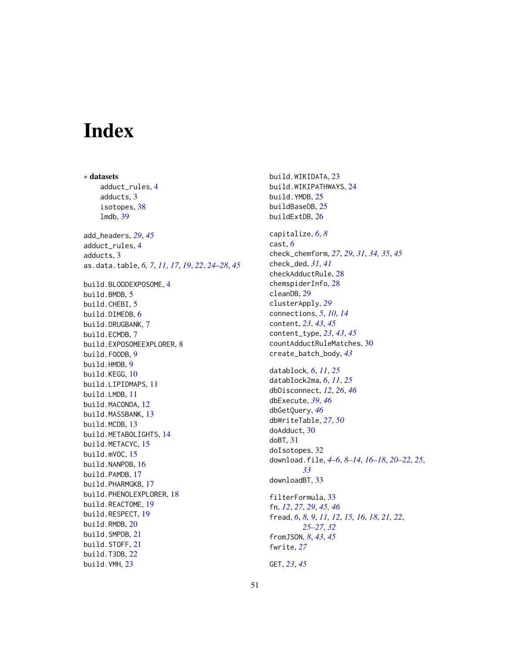# <span id="page-50-0"></span>Index

∗ datasets adduct\_rules, [4](#page-3-0) adducts, [3](#page-2-0) isotopes, [38](#page-37-0) lmdb, [39](#page-38-0) add\_headers, *[29](#page-28-0)*, *[45](#page-44-0)* adduct\_rules, [4](#page-3-0) adducts, [3](#page-2-0) as.data.table, *[6,](#page-5-0) [7](#page-6-0)*, *[11](#page-10-0)*, *[17](#page-16-0)*, *[19](#page-18-0)*, *[22](#page-21-0)*, *[24–](#page-23-0)[28](#page-27-0)*, *[45](#page-44-0)* build.BLOODEXPOSOME, [4](#page-3-0) build.BMDB, [5](#page-4-0) build.CHEBI, [5](#page-4-0) build.DIMEDB, [6](#page-5-0) build.DRUGBANK, [7](#page-6-0) build.ECMDB, [7](#page-6-0) build.EXPOSOMEEXPLORER, [8](#page-7-0) build.FOODB, [9](#page-8-0) build.HMDB, [9](#page-8-0) build.KEGG, [10](#page-9-0) build.LIPIDMAPS, [11](#page-10-0) build.LMDB, [11](#page-10-0) build.MACONDA, [12](#page-11-0) build.MASSBANK, [13](#page-12-0) build.MCDB, [13](#page-12-0) build.METABOLIGHTS, [14](#page-13-0) build.METACYC, [15](#page-14-0) build.mVOC, [15](#page-14-0) build.NANPDB, [16](#page-15-0) build.PAMDB, [17](#page-16-0) build.PHARMGKB, [17](#page-16-0) build.PHENOLEXPLORER, [18](#page-17-0) build.REACTOME, [19](#page-18-0) build.RESPECT, [19](#page-18-0) build.RMDB, [20](#page-19-0) build.SMPDB, [21](#page-20-0) build.STOFF, [21](#page-20-0) build.T3DB, [22](#page-21-0) build.VMH, [23](#page-22-0)

build.WIKIDATA, [23](#page-22-0) build.WIKIPATHWAYS, [24](#page-23-0) build.YMDB, [25](#page-24-0) buildBaseDB, [25](#page-24-0) buildExtDB, [26](#page-25-0) capitalize, *[6](#page-5-0)*, *[8](#page-7-0)* cast, *[6](#page-5-0)* check\_chemform, *[27](#page-26-0)*, *[29](#page-28-0)*, *[31](#page-30-0)*, *[34,](#page-33-0) [35](#page-34-0)*, *[45](#page-44-0)* check\_ded, *[31](#page-30-0)*, *[41](#page-40-0)* checkAdductRule, [28](#page-27-0) chemspiderInfo, [28](#page-27-0) cleanDB, [29](#page-28-0) clusterApply, *[29](#page-28-0)* connections, *[5](#page-4-0)*, *[10](#page-9-0)*, *[14](#page-13-0)* content, *[23](#page-22-0)*, *[43](#page-42-0)*, *[45](#page-44-0)* content\_type, *[23](#page-22-0)*, *[43](#page-42-0)*, *[45](#page-44-0)* countAdductRuleMatches, [30](#page-29-0) create\_batch\_body, *[43](#page-42-0)* datablock, *[6](#page-5-0)*, *[11](#page-10-0)*, *[25](#page-24-0)* datablock2ma, *[6](#page-5-0)*, *[11](#page-10-0)*, *[25](#page-24-0)* dbDisconnect, *[12](#page-11-0)*, *[26](#page-25-0)*, *[46](#page-45-0)* dbExecute, *[39](#page-38-0)*, *[46](#page-45-0)* dbGetQuery, *[46](#page-45-0)* dbWriteTable, *[27](#page-26-0)*, *[50](#page-49-0)* doAdduct, [30](#page-29-0) doBT, [31](#page-30-0) doIsotopes, [32](#page-31-0) download.file, *[4](#page-3-0)[–6](#page-5-0)*, *[8](#page-7-0)[–14](#page-13-0)*, *[16](#page-15-0)[–18](#page-17-0)*, *[20](#page-19-0)[–22](#page-21-0)*, *[25](#page-24-0)*, *[33](#page-32-0)* downloadBT, [33](#page-32-0) filterFormula, [33](#page-32-0) fn, *[12](#page-11-0)*, *[27](#page-26-0)*, *[29](#page-28-0)*, *[45,](#page-44-0) [46](#page-45-0)* fread, *[6](#page-5-0)*, *[8,](#page-7-0) [9](#page-8-0)*, *[11,](#page-10-0) [12](#page-11-0)*, *[15,](#page-14-0) [16](#page-15-0)*, *[18](#page-17-0)*, *[21,](#page-20-0) [22](#page-21-0)*, *[25](#page-24-0)[–27](#page-26-0)*, *[32](#page-31-0)* fromJSON, *[8](#page-7-0)*, *[43](#page-42-0)*, *[45](#page-44-0)* fwrite, *[27](#page-26-0)* GET, *[23](#page-22-0)*, *[45](#page-44-0)*